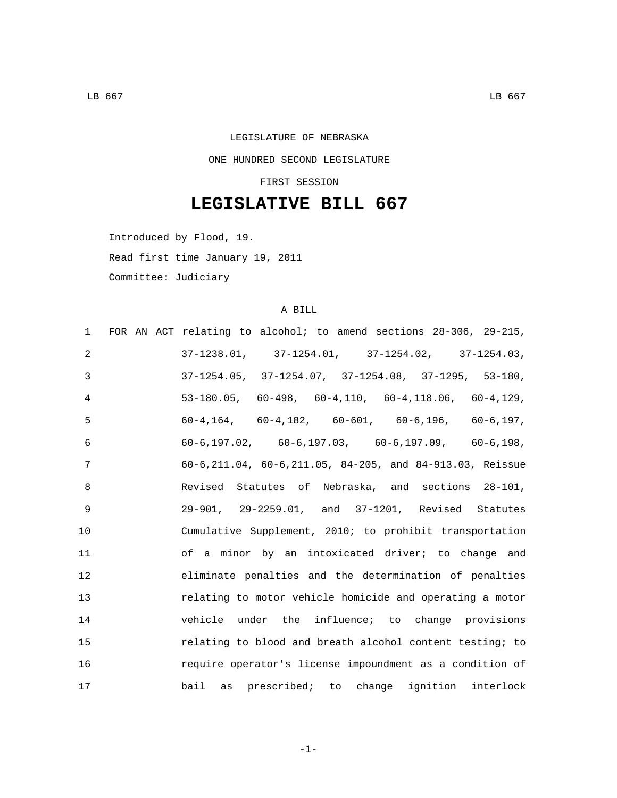## LEGISLATURE OF NEBRASKA ONE HUNDRED SECOND LEGISLATURE

FIRST SESSION

## **LEGISLATIVE BILL 667**

Introduced by Flood, 19.

Read first time January 19, 2011

Committee: Judiciary

## A BILL

| FOR AN ACT relating to alcohol; to amend sections 28-306, 29-215,<br>1          |  |
|---------------------------------------------------------------------------------|--|
| $37-1238.01, \qquad 37-1254.01, \qquad 37-1254.02, \qquad 37-1254.03 \, ,$<br>2 |  |
| $37-1254.05$ , $37-1254.07$ , $37-1254.08$ , $37-1295$ , $53-180$ ,<br>3        |  |
| $53-180.05$ , $60-498$ , $60-4$ , 110, $60-4$ , 118.06, $60-4$ , 129,<br>4      |  |
| 5<br>$60-4, 164, 60-4, 182, 60-601, 60-6, 196, 60-6, 197,$                      |  |
| $60-6, 197.02, 60-6, 197.03, 60-6, 197.09, 60-6, 198,$<br>6                     |  |
| 60-6,211.04, 60-6,211.05, 84-205, and 84-913.03, Reissue<br>7                   |  |
| Revised Statutes of Nebraska, and sections 28-101,<br>8                         |  |
| 9<br>29-901, 29-2259.01, and 37-1201, Revised Statutes                          |  |
| 10<br>Cumulative Supplement, 2010; to prohibit transportation                   |  |
| 11<br>of a minor by an intoxicated driver; to change and                        |  |
| eliminate penalties and the determination of penalties<br>12                    |  |
| 13<br>relating to motor vehicle homicide and operating a motor                  |  |
| 14<br>vehicle under the influence; to change provisions                         |  |
| 15<br>relating to blood and breath alcohol content testing; to                  |  |
| 16<br>require operator's license impoundment as a condition of                  |  |
| 17<br>bail as prescribed; to change ignition interlock                          |  |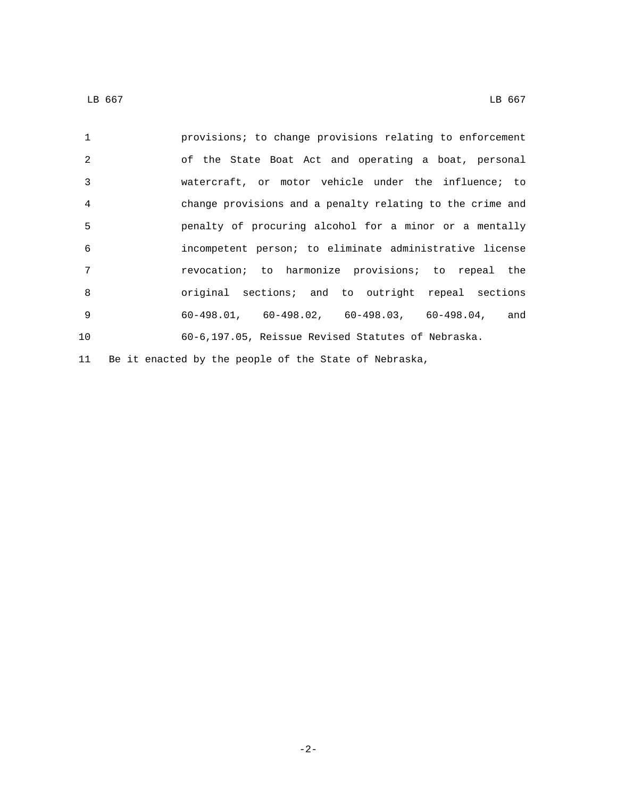provisions; to change provisions relating to enforcement of the State Boat Act and operating a boat, personal watercraft, or motor vehicle under the influence; to change provisions and a penalty relating to the crime and penalty of procuring alcohol for a minor or a mentally incompetent person; to eliminate administrative license revocation; to harmonize provisions; to repeal the original sections; and to outright repeal sections 60-498.01, 60-498.02, 60-498.03, 60-498.04, and 60-6,197.05, Reissue Revised Statutes of Nebraska. Be it enacted by the people of the State of Nebraska,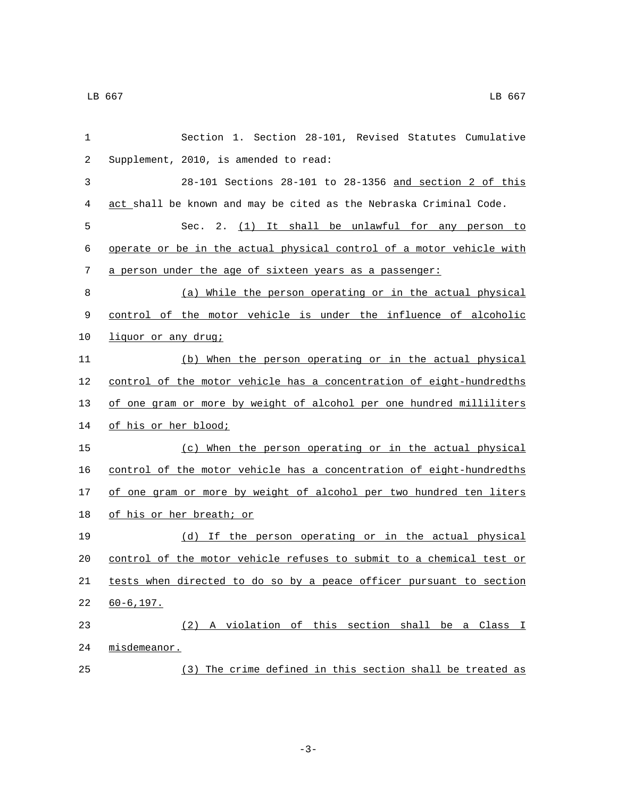| 1  | Section 1. Section 28-101, Revised Statutes Cumulative               |
|----|----------------------------------------------------------------------|
| 2  | Supplement, 2010, is amended to read:                                |
| 3  | 28-101 Sections 28-101 to 28-1356 and section 2 of this              |
| 4  | act shall be known and may be cited as the Nebraska Criminal Code.   |
| 5  | Sec. 2. (1) It shall be unlawful for any person to                   |
| 6  | operate or be in the actual physical control of a motor vehicle with |
| 7  | a person under the age of sixteen years as a passenger:              |
| 8  | (a) While the person operating or in the actual physical             |
| 9  | control of the motor vehicle is under the influence of alcoholic     |
| 10 | liquor or any drug;                                                  |
| 11 | (b) When the person operating or in the actual physical              |
| 12 | control of the motor vehicle has a concentration of eight-hundredths |
| 13 | of one gram or more by weight of alcohol per one hundred milliliters |
| 14 | <u>of his or her blood;</u>                                          |
| 15 | (c) When the person operating or in the actual physical              |
| 16 | control of the motor vehicle has a concentration of eight-hundredths |
| 17 | of one gram or more by weight of alcohol per two hundred ten liters  |
| 18 | of his or her breath; or                                             |
| 19 | (d) If the person operating or in the actual physical                |
| 20 | control of the motor vehicle refuses to submit to a chemical test or |
| 21 | tests when directed to do so by a peace officer pursuant to section  |
| 22 | $60 - 6, 197.$                                                       |
| 23 | A violation of this section shall be a Class I<br>(2)                |
| 24 | misdemeanor.                                                         |
| 25 | (3) The crime defined in this section shall be treated as            |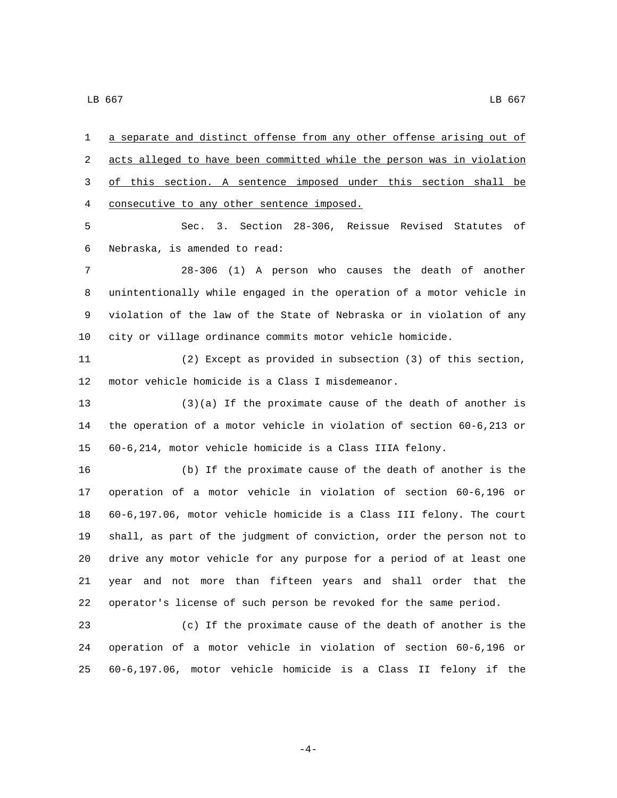a separate and distinct offense from any other offense arising out of acts alleged to have been committed while the person was in violation of this section. A sentence imposed under this section shall be 4 consecutive to any other sentence imposed. Sec. 3. Section 28-306, Reissue Revised Statutes of Nebraska, is amended to read:6 28-306 (1) A person who causes the death of another unintentionally while engaged in the operation of a motor vehicle in violation of the law of the State of Nebraska or in violation of any city or village ordinance commits motor vehicle homicide. (2) Except as provided in subsection (3) of this section, 12 motor vehicle homicide is a Class I misdemeanor. (3)(a) If the proximate cause of the death of another is the operation of a motor vehicle in violation of section 60-6,213 or 60-6,214, motor vehicle homicide is a Class IIIA felony. (b) If the proximate cause of the death of another is the operation of a motor vehicle in violation of section 60-6,196 or 60-6,197.06, motor vehicle homicide is a Class III felony. The court shall, as part of the judgment of conviction, order the person not to drive any motor vehicle for any purpose for a period of at least one year and not more than fifteen years and shall order that the operator's license of such person be revoked for the same period. (c) If the proximate cause of the death of another is the operation of a motor vehicle in violation of section 60-6,196 or

-4-

60-6,197.06, motor vehicle homicide is a Class II felony if the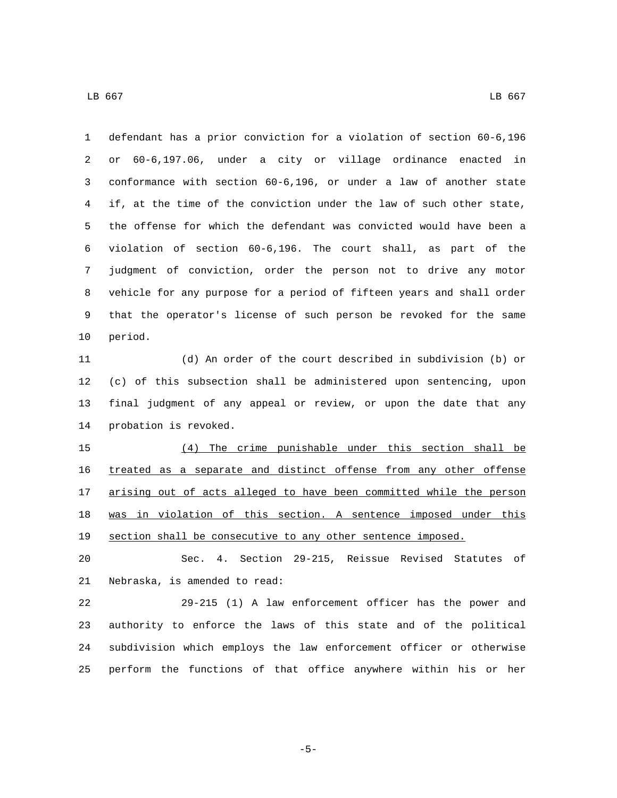defendant has a prior conviction for a violation of section 60-6,196 or 60-6,197.06, under a city or village ordinance enacted in conformance with section 60-6,196, or under a law of another state if, at the time of the conviction under the law of such other state, the offense for which the defendant was convicted would have been a violation of section 60-6,196. The court shall, as part of the judgment of conviction, order the person not to drive any motor vehicle for any purpose for a period of fifteen years and shall order that the operator's license of such person be revoked for the same 10 period.

 (d) An order of the court described in subdivision (b) or (c) of this subsection shall be administered upon sentencing, upon final judgment of any appeal or review, or upon the date that any 14 probation is revoked.

 (4) The crime punishable under this section shall be treated as a separate and distinct offense from any other offense 17 arising out of acts alleged to have been committed while the person was in violation of this section. A sentence imposed under this section shall be consecutive to any other sentence imposed.

 Sec. 4. Section 29-215, Reissue Revised Statutes of 21 Nebraska, is amended to read:

 29-215 (1) A law enforcement officer has the power and authority to enforce the laws of this state and of the political subdivision which employs the law enforcement officer or otherwise perform the functions of that office anywhere within his or her

-5-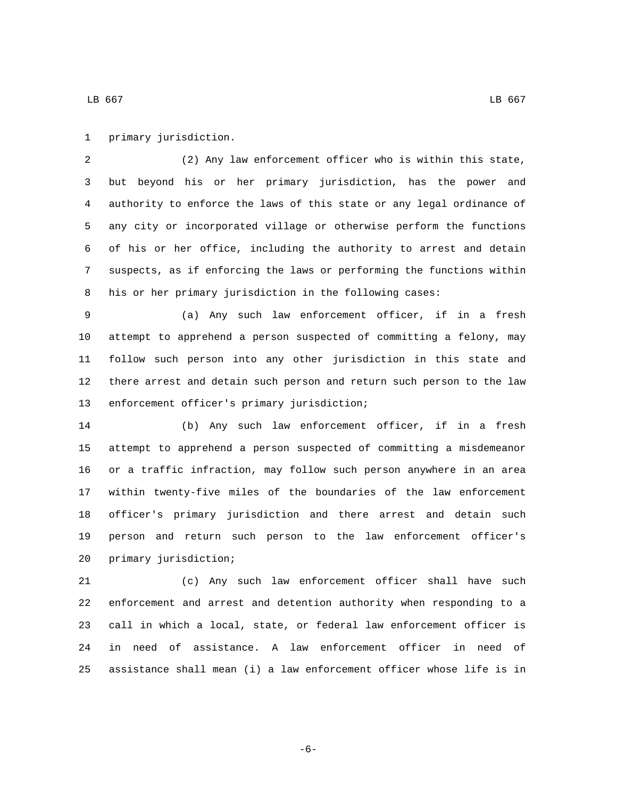primary jurisdiction.1

 (2) Any law enforcement officer who is within this state, but beyond his or her primary jurisdiction, has the power and authority to enforce the laws of this state or any legal ordinance of any city or incorporated village or otherwise perform the functions of his or her office, including the authority to arrest and detain suspects, as if enforcing the laws or performing the functions within his or her primary jurisdiction in the following cases:

 (a) Any such law enforcement officer, if in a fresh attempt to apprehend a person suspected of committing a felony, may follow such person into any other jurisdiction in this state and there arrest and detain such person and return such person to the law 13 enforcement officer's primary jurisdiction;

 (b) Any such law enforcement officer, if in a fresh attempt to apprehend a person suspected of committing a misdemeanor or a traffic infraction, may follow such person anywhere in an area within twenty-five miles of the boundaries of the law enforcement officer's primary jurisdiction and there arrest and detain such person and return such person to the law enforcement officer's 20 primary jurisdiction;

 (c) Any such law enforcement officer shall have such enforcement and arrest and detention authority when responding to a call in which a local, state, or federal law enforcement officer is in need of assistance. A law enforcement officer in need of assistance shall mean (i) a law enforcement officer whose life is in

-6-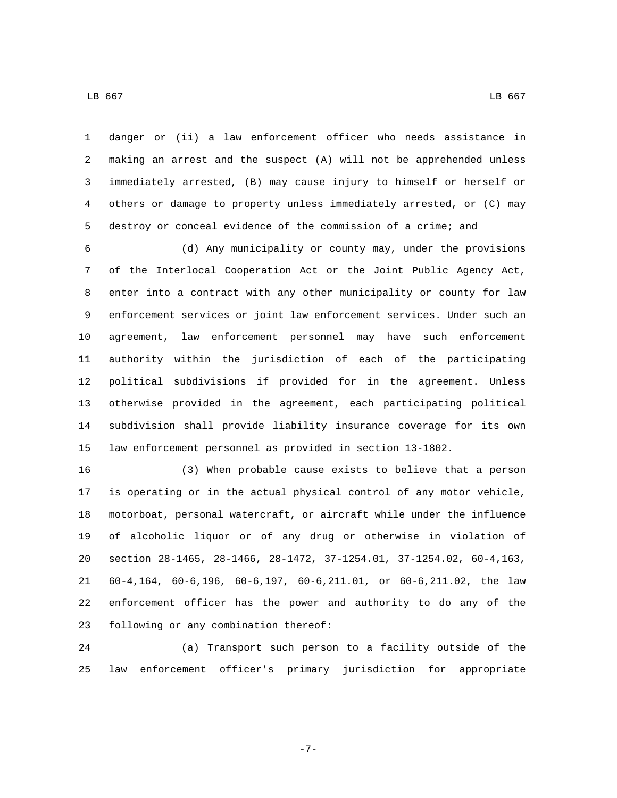danger or (ii) a law enforcement officer who needs assistance in making an arrest and the suspect (A) will not be apprehended unless immediately arrested, (B) may cause injury to himself or herself or

 others or damage to property unless immediately arrested, or (C) may destroy or conceal evidence of the commission of a crime; and

 (d) Any municipality or county may, under the provisions of the Interlocal Cooperation Act or the Joint Public Agency Act, enter into a contract with any other municipality or county for law enforcement services or joint law enforcement services. Under such an agreement, law enforcement personnel may have such enforcement authority within the jurisdiction of each of the participating political subdivisions if provided for in the agreement. Unless otherwise provided in the agreement, each participating political subdivision shall provide liability insurance coverage for its own law enforcement personnel as provided in section 13-1802.

 (3) When probable cause exists to believe that a person is operating or in the actual physical control of any motor vehicle, motorboat, personal watercraft, or aircraft while under the influence of alcoholic liquor or of any drug or otherwise in violation of section 28-1465, 28-1466, 28-1472, 37-1254.01, 37-1254.02, 60-4,163, 60-4,164, 60-6,196, 60-6,197, 60-6,211.01, or 60-6,211.02, the law enforcement officer has the power and authority to do any of the 23 following or any combination thereof:

 (a) Transport such person to a facility outside of the law enforcement officer's primary jurisdiction for appropriate

-7-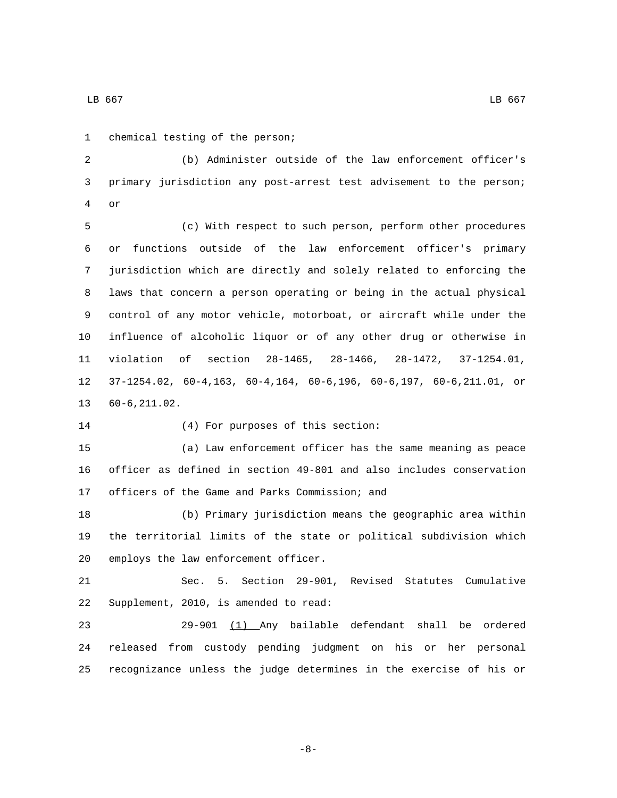1 chemical testing of the person;

 (b) Administer outside of the law enforcement officer's primary jurisdiction any post-arrest test advisement to the person; or4

 (c) With respect to such person, perform other procedures or functions outside of the law enforcement officer's primary jurisdiction which are directly and solely related to enforcing the laws that concern a person operating or being in the actual physical control of any motor vehicle, motorboat, or aircraft while under the influence of alcoholic liquor or of any other drug or otherwise in violation of section 28-1465, 28-1466, 28-1472, 37-1254.01, 37-1254.02, 60-4,163, 60-4,164, 60-6,196, 60-6,197, 60-6,211.01, or 13 60-6,211.02.

14 (4) For purposes of this section:

 (a) Law enforcement officer has the same meaning as peace officer as defined in section 49-801 and also includes conservation 17 officers of the Game and Parks Commission; and

 (b) Primary jurisdiction means the geographic area within the territorial limits of the state or political subdivision which 20 employs the law enforcement officer.

 Sec. 5. Section 29-901, Revised Statutes Cumulative 22 Supplement, 2010, is amended to read:

 29-901 (1) Any bailable defendant shall be ordered released from custody pending judgment on his or her personal recognizance unless the judge determines in the exercise of his or

 $\,$  LB 667  $\,$  LB 667  $\,$ 

-8-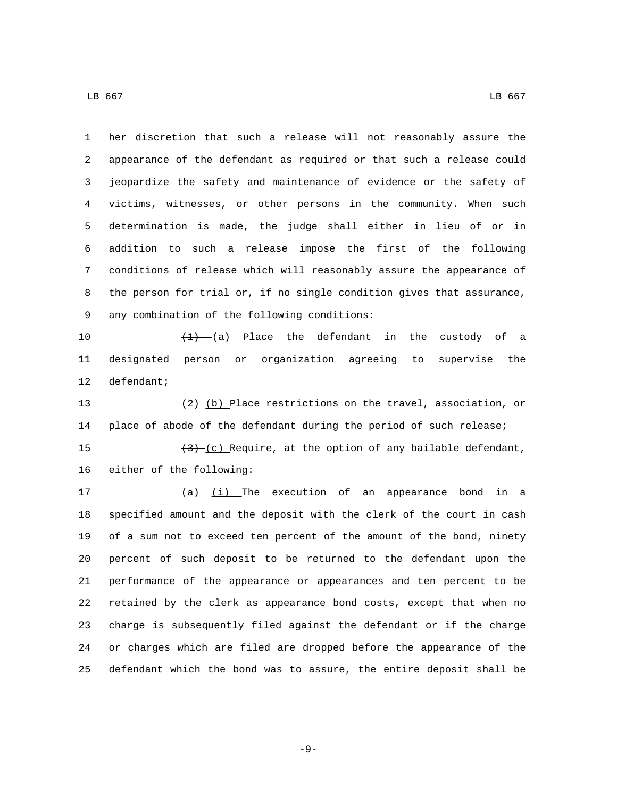her discretion that such a release will not reasonably assure the appearance of the defendant as required or that such a release could jeopardize the safety and maintenance of evidence or the safety of victims, witnesses, or other persons in the community. When such determination is made, the judge shall either in lieu of or in addition to such a release impose the first of the following conditions of release which will reasonably assure the appearance of the person for trial or, if no single condition gives that assurance, 9 any combination of the following conditions:

 $\left(\frac{1}{1}\right)$  (a) Place the defendant in the custody of a designated person or organization agreeing to supervise the 12 defendant;

13  $(2)$  (b) Place restrictions on the travel, association, or place of abode of the defendant during the period of such release; 15  $\left(3\right)-\left(c\right)$  Require, at the option of any bailable defendant,

16 either of the following:

 $(a)$   $(i)$  The execution of an appearance bond in a specified amount and the deposit with the clerk of the court in cash of a sum not to exceed ten percent of the amount of the bond, ninety percent of such deposit to be returned to the defendant upon the performance of the appearance or appearances and ten percent to be retained by the clerk as appearance bond costs, except that when no charge is subsequently filed against the defendant or if the charge or charges which are filed are dropped before the appearance of the defendant which the bond was to assure, the entire deposit shall be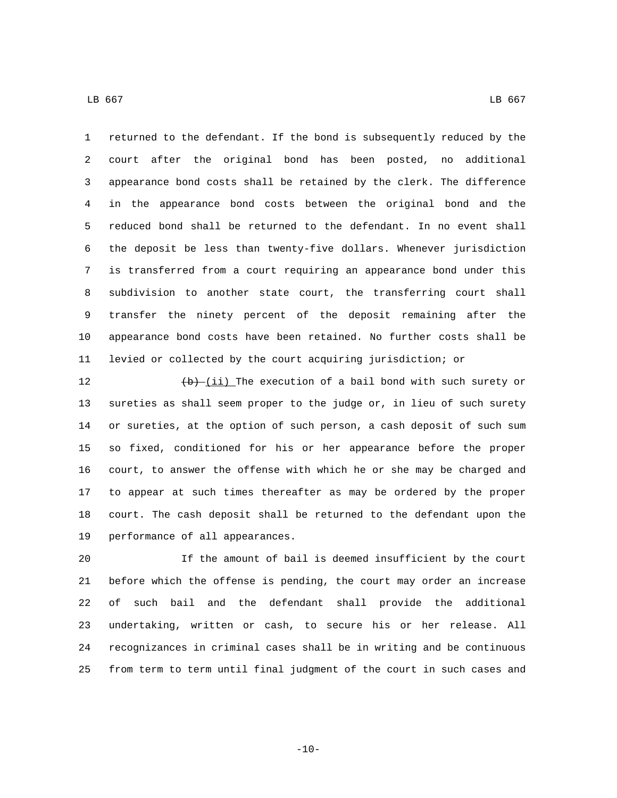returned to the defendant. If the bond is subsequently reduced by the court after the original bond has been posted, no additional appearance bond costs shall be retained by the clerk. The difference in the appearance bond costs between the original bond and the reduced bond shall be returned to the defendant. In no event shall the deposit be less than twenty-five dollars. Whenever jurisdiction is transferred from a court requiring an appearance bond under this subdivision to another state court, the transferring court shall transfer the ninety percent of the deposit remaining after the appearance bond costs have been retained. No further costs shall be levied or collected by the court acquiring jurisdiction; or

 $(b)$   $(\underline{\text{id}})$  The execution of a bail bond with such surety or sureties as shall seem proper to the judge or, in lieu of such surety or sureties, at the option of such person, a cash deposit of such sum so fixed, conditioned for his or her appearance before the proper court, to answer the offense with which he or she may be charged and to appear at such times thereafter as may be ordered by the proper court. The cash deposit shall be returned to the defendant upon the 19 performance of all appearances.

 If the amount of bail is deemed insufficient by the court before which the offense is pending, the court may order an increase of such bail and the defendant shall provide the additional undertaking, written or cash, to secure his or her release. All recognizances in criminal cases shall be in writing and be continuous from term to term until final judgment of the court in such cases and

 $-10-$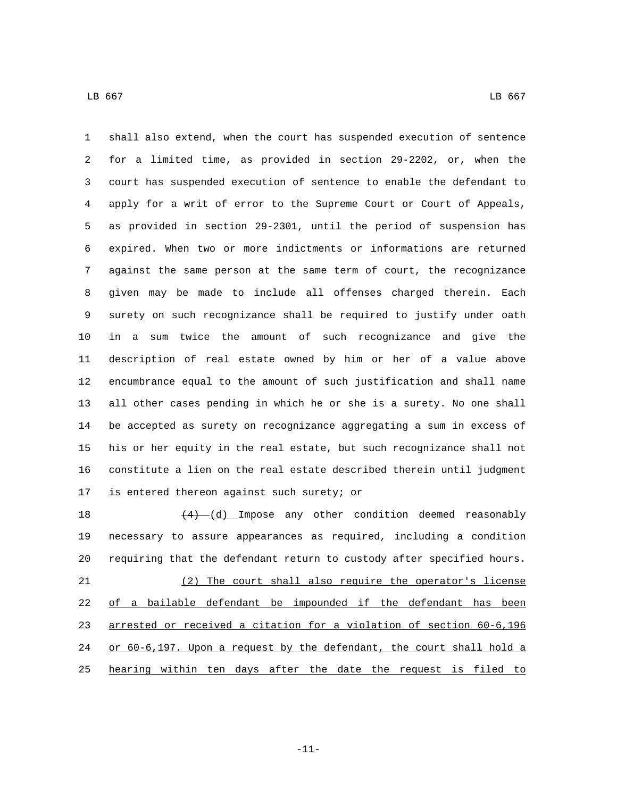shall also extend, when the court has suspended execution of sentence for a limited time, as provided in section 29-2202, or, when the court has suspended execution of sentence to enable the defendant to apply for a writ of error to the Supreme Court or Court of Appeals, as provided in section 29-2301, until the period of suspension has expired. When two or more indictments or informations are returned against the same person at the same term of court, the recognizance given may be made to include all offenses charged therein. Each surety on such recognizance shall be required to justify under oath in a sum twice the amount of such recognizance and give the description of real estate owned by him or her of a value above encumbrance equal to the amount of such justification and shall name all other cases pending in which he or she is a surety. No one shall be accepted as surety on recognizance aggregating a sum in excess of his or her equity in the real estate, but such recognizance shall not constitute a lien on the real estate described therein until judgment 17 is entered thereon against such surety; or

 $\left(4\right)$   $\frac{1}{d}$  Impose any other condition deemed reasonably necessary to assure appearances as required, including a condition requiring that the defendant return to custody after specified hours. (2) The court shall also require the operator's license of a bailable defendant be impounded if the defendant has been arrested or received a citation for a violation of section 60-6,196 or 60-6,197. Upon a request by the defendant, the court shall hold a 25 hearing within ten days after the date the request is filed to

-11-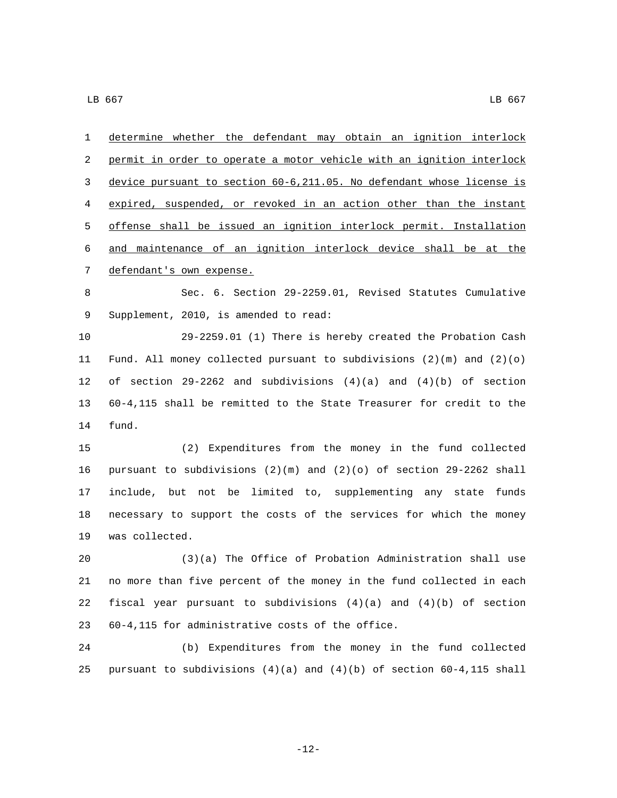determine whether the defendant may obtain an ignition interlock permit in order to operate a motor vehicle with an ignition interlock device pursuant to section 60-6,211.05. No defendant whose license is expired, suspended, or revoked in an action other than the instant offense shall be issued an ignition interlock permit. Installation and maintenance of an ignition interlock device shall be at the 7 defendant's own expense. Sec. 6. Section 29-2259.01, Revised Statutes Cumulative 9 Supplement, 2010, is amended to read: 29-2259.01 (1) There is hereby created the Probation Cash Fund. All money collected pursuant to subdivisions (2)(m) and (2)(o) of section 29-2262 and subdivisions (4)(a) and (4)(b) of section 60-4,115 shall be remitted to the State Treasurer for credit to the 14 fund. (2) Expenditures from the money in the fund collected pursuant to subdivisions (2)(m) and (2)(o) of section 29-2262 shall include, but not be limited to, supplementing any state funds necessary to support the costs of the services for which the money 19 was collected. (3)(a) The Office of Probation Administration shall use no more than five percent of the money in the fund collected in each 22 fiscal year pursuant to subdivisions  $(4)(a)$  and  $(4)(b)$  of section 60-4,115 for administrative costs of the office.23 (b) Expenditures from the money in the fund collected 25 pursuant to subdivisions  $(4)(a)$  and  $(4)(b)$  of section 60-4,115 shall

-12-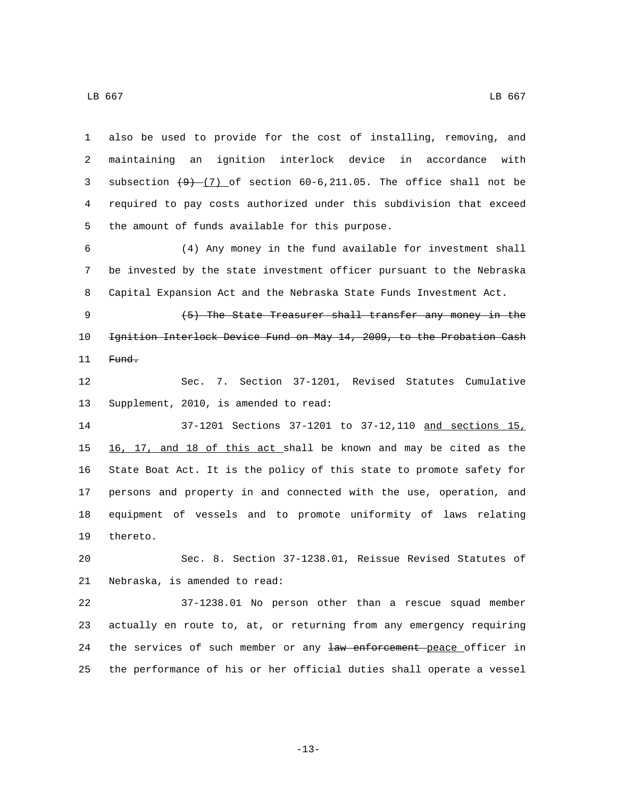also be used to provide for the cost of installing, removing, and maintaining an ignition interlock device in accordance with 3 subsection  $(9)$   $(7)$  of section 60-6, 211.05. The office shall not be required to pay costs authorized under this subdivision that exceed 5 the amount of funds available for this purpose.

 (4) Any money in the fund available for investment shall be invested by the state investment officer pursuant to the Nebraska Capital Expansion Act and the Nebraska State Funds Investment Act.

 (5) The State Treasurer shall transfer any money in the Ignition Interlock Device Fund on May 14, 2009, to the Probation Cash 11 Fund.

 Sec. 7. Section 37-1201, Revised Statutes Cumulative 13 Supplement, 2010, is amended to read:

 37-1201 Sections 37-1201 to 37-12,110 and sections 15, 16, 17, and 18 of this act shall be known and may be cited as the State Boat Act. It is the policy of this state to promote safety for persons and property in and connected with the use, operation, and equipment of vessels and to promote uniformity of laws relating 19 thereto.

 Sec. 8. Section 37-1238.01, Reissue Revised Statutes of 21 Nebraska, is amended to read:

 37-1238.01 No person other than a rescue squad member actually en route to, at, or returning from any emergency requiring 24 the services of such member or any law enforcement peace officer in the performance of his or her official duties shall operate a vessel

-13-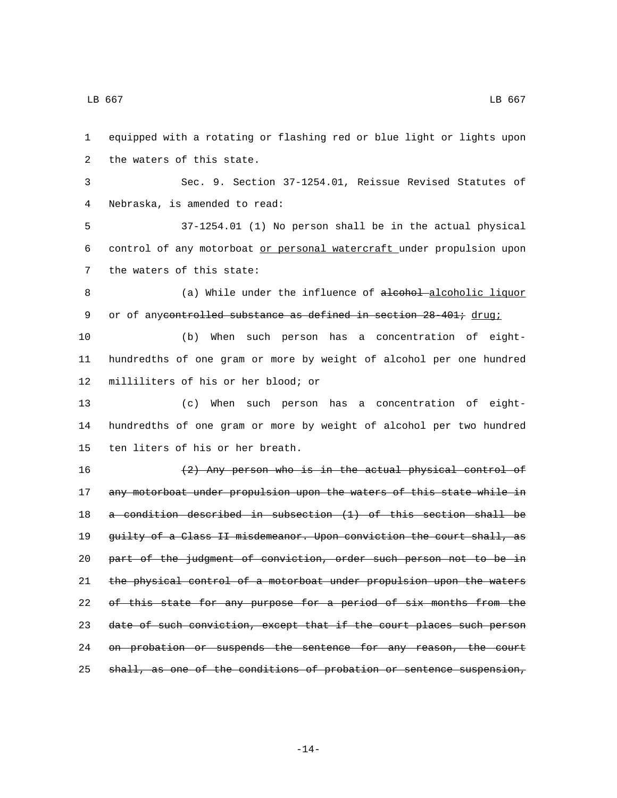1 equipped with a rotating or flashing red or blue light or lights upon 2 the waters of this state. 3 Sec. 9. Section 37-1254.01, Reissue Revised Statutes of Nebraska, is amended to read:4 5 37-1254.01 (1) No person shall be in the actual physical 6 control of any motorboat or personal watercraft under propulsion upon 7 the waters of this state: 8 (a) While under the influence of alcohol-alcoholic liquor 9 or of anycontrolled substance as defined in section 28 401; drug; 10 (b) When such person has a concentration of eight-11 hundredths of one gram or more by weight of alcohol per one hundred 12 milliliters of his or her blood; or 13 (c) When such person has a concentration of eight-14 hundredths of one gram or more by weight of alcohol per two hundred 15 ten liters of his or her breath. 16 (2) Any person who is in the actual physical control of 17 any motorboat under propulsion upon the waters of this state while in 18 a condition described in subsection (1) of this section shall be 19 guilty of a Class II misdemeanor. Upon conviction the court shall, as 20 part of the judgment of conviction, order such person not to be in 21 the physical control of a motorboat under propulsion upon the waters 22 of this state for any purpose for a period of six months from the 23 date of such conviction, except that if the court places such person 24 on probation or suspends the sentence for any reason, the court 25 shall, as one of the conditions of probation or sentence suspension,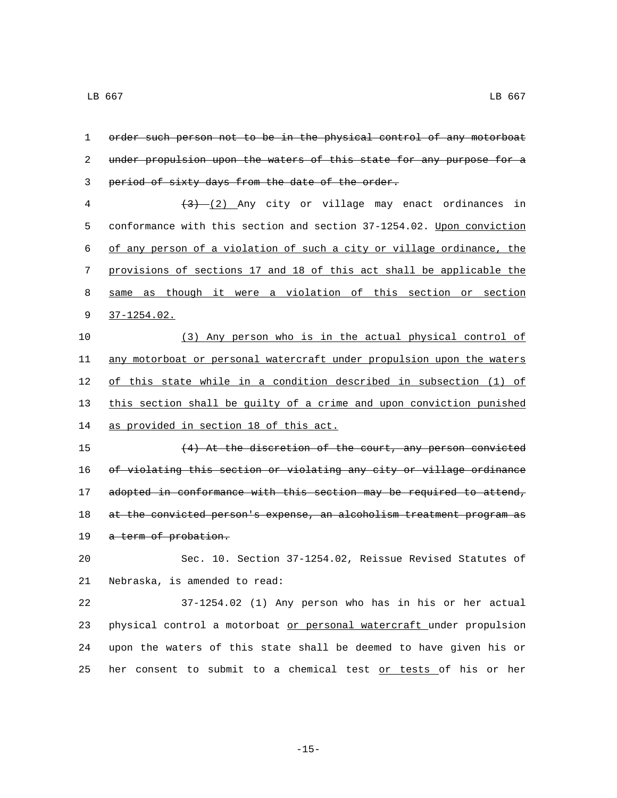| 1  | order such person not to be in the physical control of any motorboat  |
|----|-----------------------------------------------------------------------|
| 2  | under propulsion upon the waters of this state for any purpose for a  |
| 3  | period of sixty days from the date of the order.                      |
| 4  | $(3)$ (2) Any city or village may enact ordinances in                 |
| 5  | conformance with this section and section 37-1254.02. Upon conviction |
| 6  | of any person of a violation of such a city or village ordinance, the |
| 7  | provisions of sections 17 and 18 of this act shall be applicable the  |
| 8  | same as though it were a violation of this section or section         |
| 9  | $37 - 1254.02$ .                                                      |
| 10 | (3) Any person who is in the actual physical control of               |
| 11 | any motorboat or personal watercraft under propulsion upon the waters |
| 12 | of this state while in a condition described in subsection (1) of     |
| 13 | this section shall be quilty of a crime and upon conviction punished  |
| 14 | as provided in section 18 of this act.                                |
| 15 | (4) At the discretion of the court, any person convicted              |
| 16 | of violating this section or violating any city or village ordinance  |
| 17 | adopted in conformance with this section may be required to attend,   |
| 18 | at the convicted person's expense, an alcoholism treatment program as |
| 19 | a term of probation.                                                  |
| 20 | Sec. 10. Section 37-1254.02, Reissue Revised Statutes of              |
| 21 | Nebraska, is amended to read:                                         |
| 22 | 37-1254.02 (1) Any person who has in his or her actual                |
| 23 | physical control a motorboat or personal watercraft under propulsion  |
| 24 | upon the waters of this state shall be deemed to have given his or    |
| 25 | her consent to submit to a chemical test or tests of his or her       |

-15-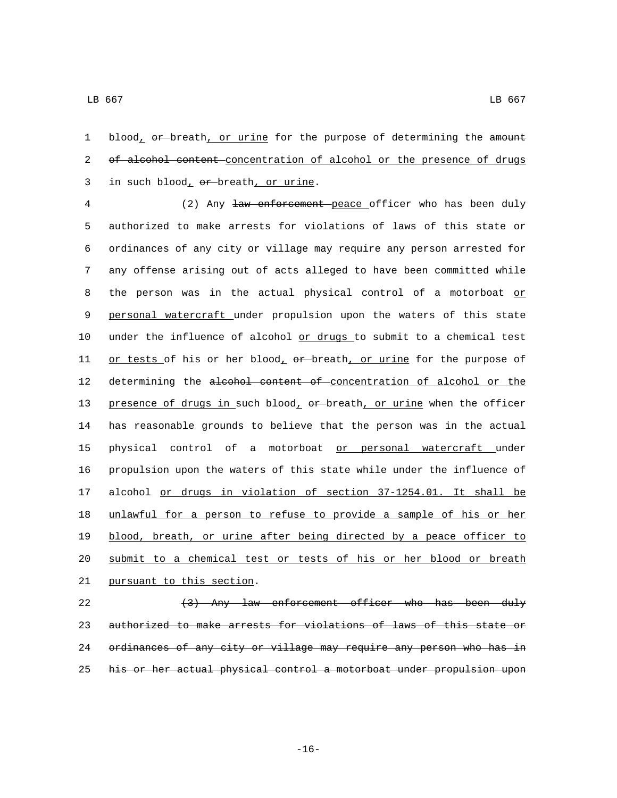1 blood, or breath, or urine for the purpose of determining the amount 2 of alcohol content concentration of alcohol or the presence of drugs in such blood,  $er$ -breath, or urine.

4 (2) Any law enforcement peace officer who has been duly 5 authorized to make arrests for violations of laws of this state or 6 ordinances of any city or village may require any person arrested for 7 any offense arising out of acts alleged to have been committed while 8 the person was in the actual physical control of a motorboat or 9 personal watercraft under propulsion upon the waters of this state 10 under the influence of alcohol or drugs to submit to a chemical test 11 or tests of his or her blood,  $\theta$ r-breath, or urine for the purpose of 12 determining the alcohol content of concentration of alcohol or the 13 presence of drugs in such blood, or breath, or urine when the officer 14 has reasonable grounds to believe that the person was in the actual 15 physical control of a motorboat or personal watercraft under 16 propulsion upon the waters of this state while under the influence of 17 alcohol or drugs in violation of section 37-1254.01. It shall be 18 unlawful for a person to refuse to provide a sample of his or her 19 blood, breath, or urine after being directed by a peace officer to 20 submit to a chemical test or tests of his or her blood or breath 21 pursuant to this section.

22 (3) Any law enforcement officer who has been duly 23 authorized to make arrests for violations of laws of this state or 24 ordinances of any city or village may require any person who has in 25 his or her actual physical control a motorboat under propulsion upon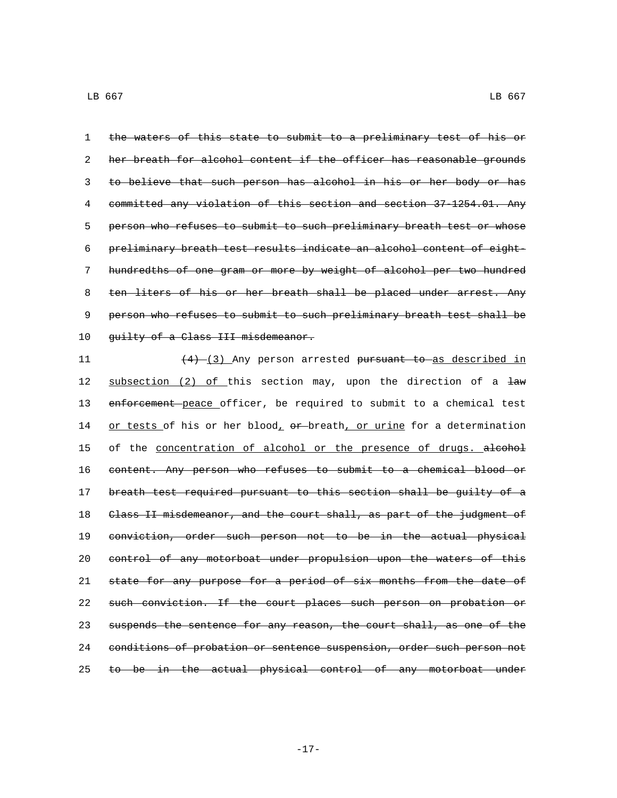the waters of this state to submit to a preliminary test of his or her breath for alcohol content if the officer has reasonable grounds to believe that such person has alcohol in his or her body or has committed any violation of this section and section 37-1254.01. Any person who refuses to submit to such preliminary breath test or whose preliminary breath test results indicate an alcohol content of eight- hundredths of one gram or more by weight of alcohol per two hundred 8 ten liters of his or her breath shall be placed under arrest. Any person who refuses to submit to such preliminary breath test shall be 10 guilty of a Class III misdemeanor.

11 (4) (3) Any person arrested pursuant to as described in 12 subsection (2) of this section may, upon the direction of a law 13 enforcement peace officer, be required to submit to a chemical test 14 or tests of his or her blood, or breath, or urine for a determination 15 of the concentration of alcohol or the presence of drugs. alcohol 16 content. Any person who refuses to submit to a chemical blood or 17 breath test required pursuant to this section shall be guilty of a 18 Class II misdemeanor, and the court shall, as part of the judgment of 19 conviction, order such person not to be in the actual physical 20 control of any motorboat under propulsion upon the waters of this 21 state for any purpose for a period of six months from the date of 22 such conviction. If the court places such person on probation or 23 suspends the sentence for any reason, the court shall, as one of the 24 conditions of probation or sentence suspension, order such person not 25 to be in the actual physical control of any motorboat under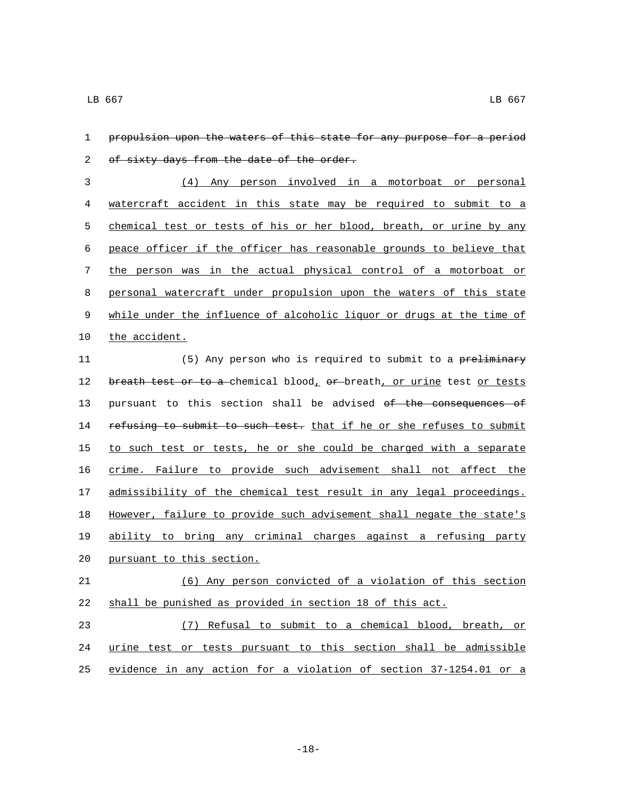| 1           | propulsion upon the waters of this state for any purpose for a period |
|-------------|-----------------------------------------------------------------------|
| 2           | of sixty days from the date of the order.                             |
| 3           | (4) Any person involved in a motorboat or personal                    |
| 4           | watercraft accident in this state may be required to submit to a      |
| 5           | chemical test or tests of his or her blood, breath, or urine by any   |
| 6           | peace officer if the officer has reasonable grounds to believe that   |
| 7           | the person was in the actual physical control of a motorboat or       |
| 8           | personal watercraft under propulsion upon the waters of this state    |
| $\mathsf 9$ | while under the influence of alcoholic liquor or drugs at the time of |
| 10          | the accident.                                                         |
| 11          | (5) Any person who is required to submit to a preliminary             |
| 12          | breath test or to a chemical blood, or breath, or urine test or tests |
| 13          | pursuant to this section shall be advised of the consequences of      |
| 14          | refusing to submit to such test. that if he or she refuses to submit  |
| 15          | to such test or tests, he or she could be charged with a separate     |
| 16          | crime. Failure to provide such advisement shall not affect the        |
| 17          | admissibility of the chemical test result in any legal proceedings.   |
| 18          | However, failure to provide such advisement shall negate the state's  |
| 19          | ability to bring any criminal charges against a refusing party        |
| 20          | pursuant to this section.                                             |
| 21          | (6) Any person convicted of a violation of this section               |
| 22          | shall be punished as provided in section 18 of this act.              |
| 23          | (7) Refusal to submit to a chemical blood, breath, or                 |
| 24          | urine test or tests pursuant to this section shall be admissible      |
| 25          | evidence in any action for a violation of section 37-1254.01 or a     |

-18-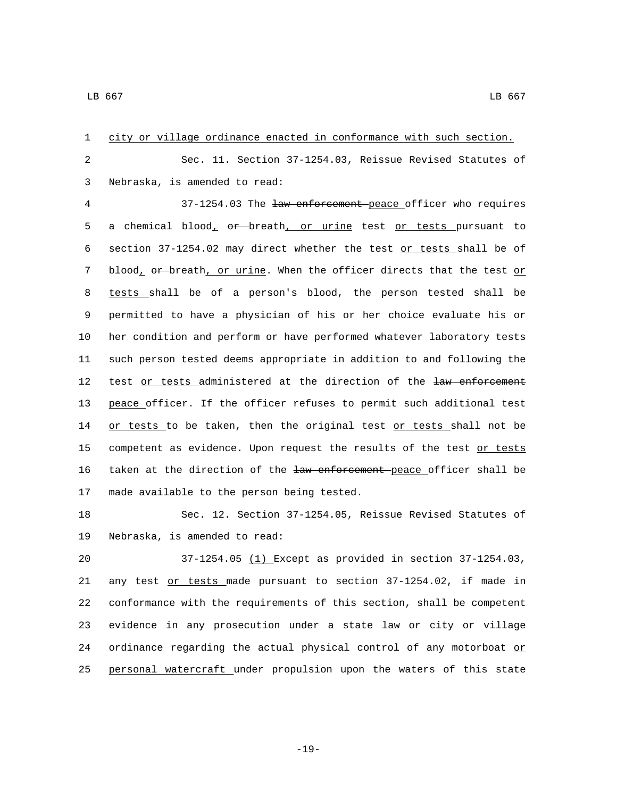| $\mathbf 1$ | city or village ordinance enacted in conformance with such section.   |
|-------------|-----------------------------------------------------------------------|
| 2           | Sec. 11. Section 37-1254.03, Reissue Revised Statutes of              |
| 3           | Nebraska, is amended to read:                                         |
| 4           | 37-1254.03 The law enforcement peace officer who requires             |
| 5           | a chemical blood, or breath, or urine test or tests pursuant to       |
| 6           | section 37-1254.02 may direct whether the test or tests shall be of   |
| 7           | blood, or breath, or urine. When the officer directs that the test or |
| 8           | tests shall be of a person's blood, the person tested shall be        |
| 9           | permitted to have a physician of his or her choice evaluate his or    |
| 10          | her condition and perform or have performed whatever laboratory tests |
| 11          | such person tested deems appropriate in addition to and following the |
| 12          | test or tests administered at the direction of the law enforcement    |
| 13          | peace officer. If the officer refuses to permit such additional test  |
| 14          | or tests to be taken, then the original test or tests shall not be    |
| 15          | competent as evidence. Upon request the results of the test or tests  |
| 16          | taken at the direction of the law enforcement peace officer shall be  |
| 17          | made available to the person being tested.                            |
| 18          | Sec. 12. Section 37-1254.05, Reissue Revised Statutes of              |
| 19          | Nebraska, is amended to read:                                         |
| 20          | $37-1254.05$ $(1)$ Except as provided in section $37-1254.03$ ,       |
| 21          | any test or tests made pursuant to section 37-1254.02, if made in     |
| 22          | conformance with the requirements of this section, shall be competent |
| 23          | evidence in any prosecution under a state law or city or village      |
| 24          | ordinance regarding the actual physical control of any motorboat or   |

personal watercraft under propulsion upon the waters of this state

-19-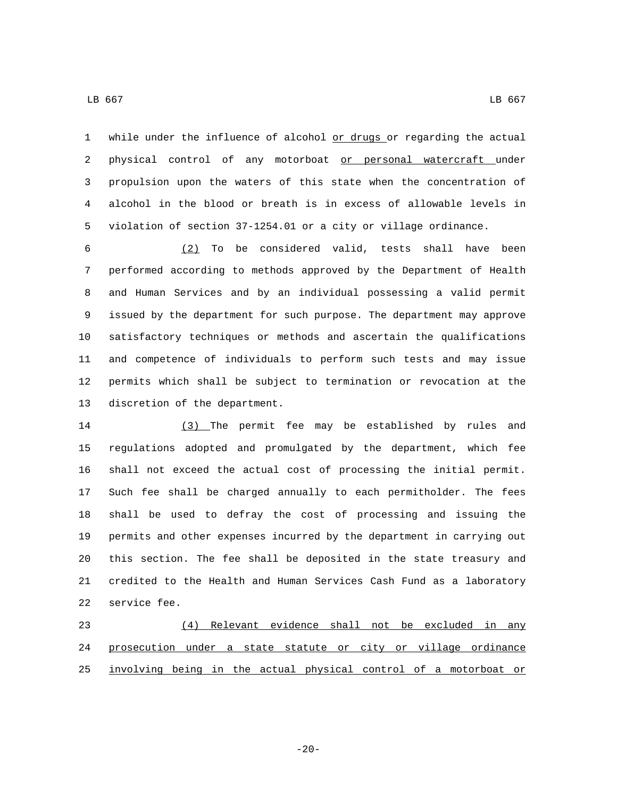1 while under the influence of alcohol or drugs or regarding the actual physical control of any motorboat or personal watercraft under propulsion upon the waters of this state when the concentration of alcohol in the blood or breath is in excess of allowable levels in violation of section 37-1254.01 or a city or village ordinance.

 (2) To be considered valid, tests shall have been performed according to methods approved by the Department of Health and Human Services and by an individual possessing a valid permit issued by the department for such purpose. The department may approve satisfactory techniques or methods and ascertain the qualifications and competence of individuals to perform such tests and may issue permits which shall be subject to termination or revocation at the 13 discretion of the department.

 (3) The permit fee may be established by rules and regulations adopted and promulgated by the department, which fee shall not exceed the actual cost of processing the initial permit. Such fee shall be charged annually to each permitholder. The fees shall be used to defray the cost of processing and issuing the permits and other expenses incurred by the department in carrying out this section. The fee shall be deposited in the state treasury and credited to the Health and Human Services Cash Fund as a laboratory 22 service fee.

 (4) Relevant evidence shall not be excluded in any prosecution under a state statute or city or village ordinance involving being in the actual physical control of a motorboat or

-20-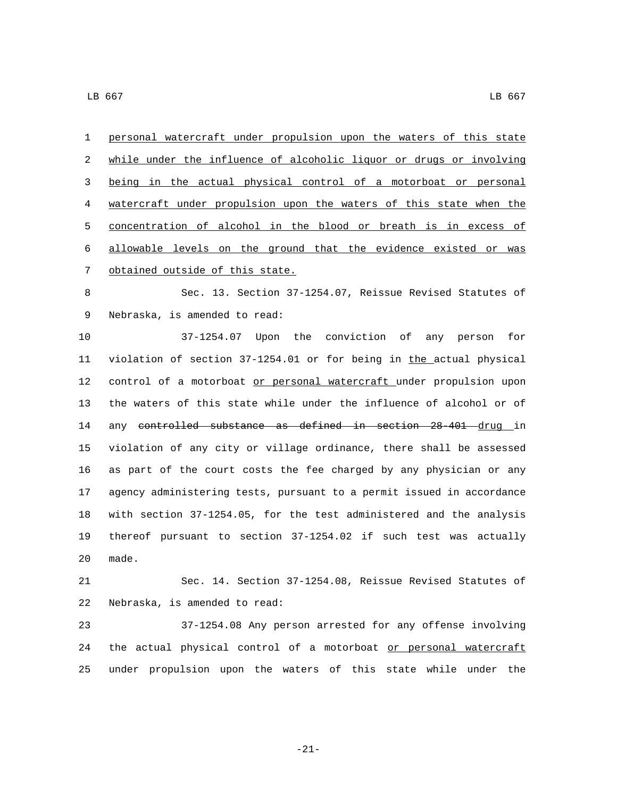personal watercraft under propulsion upon the waters of this state while under the influence of alcoholic liquor or drugs or involving being in the actual physical control of a motorboat or personal watercraft under propulsion upon the waters of this state when the concentration of alcohol in the blood or breath is in excess of allowable levels on the ground that the evidence existed or was 7 obtained outside of this state.

 Sec. 13. Section 37-1254.07, Reissue Revised Statutes of 9 Nebraska, is amended to read:

 37-1254.07 Upon the conviction of any person for 11 violation of section 37-1254.01 or for being in the actual physical 12 control of a motorboat or personal watercraft under propulsion upon the waters of this state while under the influence of alcohol or of 14 any controlled substance as defined in section 28-401 drug in violation of any city or village ordinance, there shall be assessed as part of the court costs the fee charged by any physician or any agency administering tests, pursuant to a permit issued in accordance with section 37-1254.05, for the test administered and the analysis thereof pursuant to section 37-1254.02 if such test was actually 20 made.

 Sec. 14. Section 37-1254.08, Reissue Revised Statutes of 22 Nebraska, is amended to read:

 37-1254.08 Any person arrested for any offense involving 24 the actual physical control of a motorboat or personal watercraft under propulsion upon the waters of this state while under the

-21-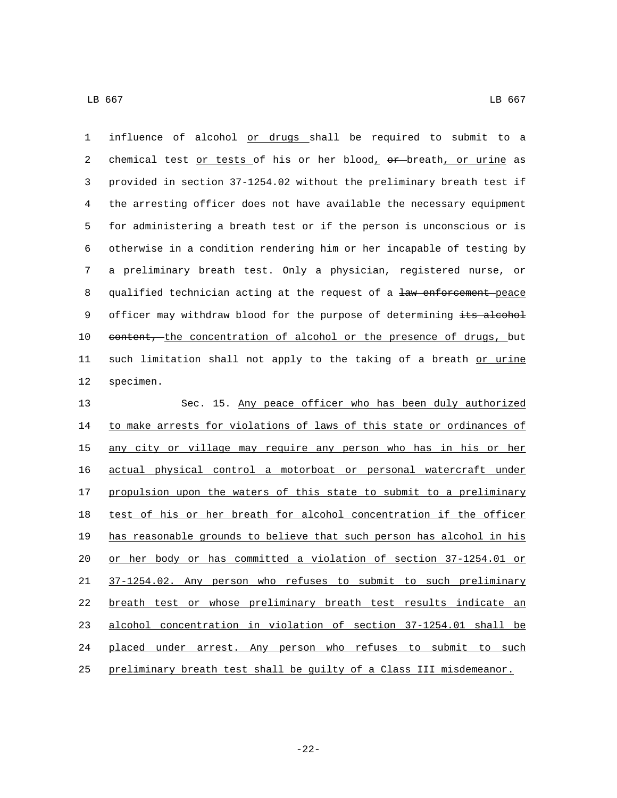1 influence of alcohol or drugs shall be required to submit to a 2 chemical test  $or tests of his or her blood<sub>r</sub> or b<sub>r</sub> -b<sub>r</sub> -b<sub>r</sub> -b<sub>r</sub>$  as</u> 3 provided in section 37-1254.02 without the preliminary breath test if 4 the arresting officer does not have available the necessary equipment 5 for administering a breath test or if the person is unconscious or is 6 otherwise in a condition rendering him or her incapable of testing by 7 a preliminary breath test. Only a physician, registered nurse, or 8 qualified technician acting at the request of a law enforcement peace 9 officer may withdraw blood for the purpose of determining its alcohol 10 content, the concentration of alcohol or the presence of drugs, but 11 such limitation shall not apply to the taking of a breath or urine 12 specimen.

 Sec. 15. Any peace officer who has been duly authorized 14 to make arrests for violations of laws of this state or ordinances of 15 any city or village may require any person who has in his or her actual physical control a motorboat or personal watercraft under 17 propulsion upon the waters of this state to submit to a preliminary 18 test of his or her breath for alcohol concentration if the officer has reasonable grounds to believe that such person has alcohol in his or her body or has committed a violation of section 37-1254.01 or 37-1254.02. Any person who refuses to submit to such preliminary breath test or whose preliminary breath test results indicate an alcohol concentration in violation of section 37-1254.01 shall be placed under arrest. Any person who refuses to submit to such preliminary breath test shall be guilty of a Class III misdemeanor.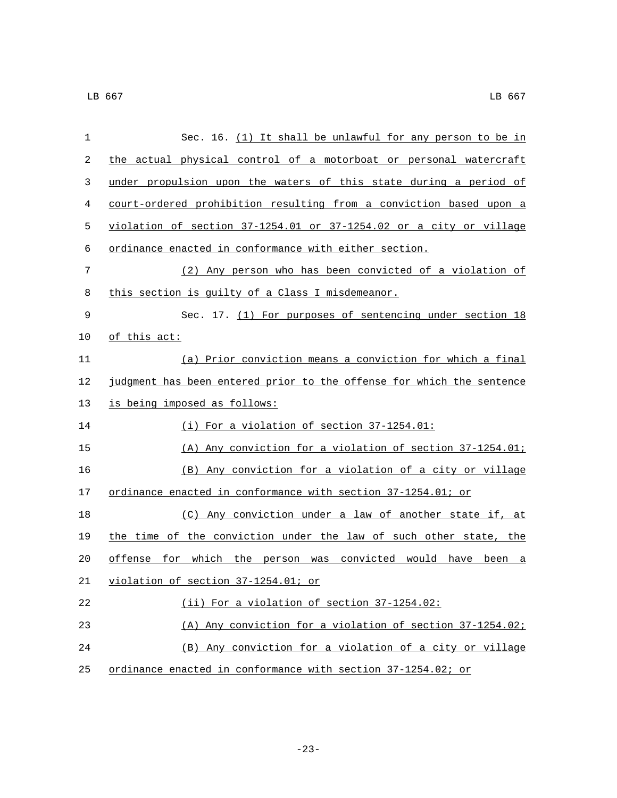| $\mathbf{1}$ | Sec. 16. (1) It shall be unlawful for any person to be in             |
|--------------|-----------------------------------------------------------------------|
| 2            | the actual physical control of a motorboat or personal watercraft     |
| 3            | under propulsion upon the waters of this state during a period of     |
| 4            | court-ordered prohibition resulting from a conviction based upon a    |
| 5            | violation of section 37-1254.01 or 37-1254.02 or a city or village    |
| 6            | ordinance enacted in conformance with either section.                 |
| 7            | (2) Any person who has been convicted of a violation of               |
| 8            | this section is guilty of a Class I misdemeanor.                      |
| 9            | Sec. 17. (1) For purposes of sentencing under section 18              |
| 10           | <u>of this act:</u>                                                   |
| 11           | (a) Prior conviction means a conviction for which a final             |
| 12           | judgment has been entered prior to the offense for which the sentence |
| 13           | is being imposed as follows:                                          |
| 14           | (i) For a violation of section 37-1254.01:                            |
| 15           | (A) Any conviction for a violation of section 37-1254.01;             |
| 16           | (B) Any conviction for a violation of a city or village               |
| 17           | ordinance enacted in conformance with section 37-1254.01; or          |
| 18           | (C) Any conviction under a law of another state if, at                |
| 19           | the time of the conviction under the law of such other state, the     |
| 20           | offense for which the person was convicted would have<br>been a       |
| 21           | violation of section 37-1254.01; or                                   |
| 22           | (ii) For a violation of section 37-1254.02:                           |
| 23           | (A) Any conviction for a violation of section 37-1254.02;             |
| 24           | (B) Any conviction for a violation of a city or village               |
| 25           | ordinance enacted in conformance with section 37-1254.02; or          |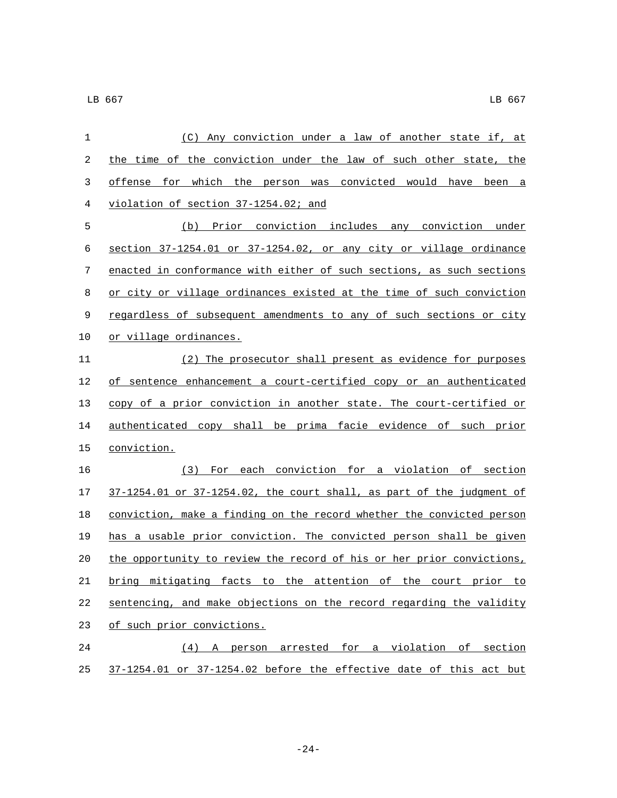| 1  | (C) Any conviction under a law of another state if, at                |
|----|-----------------------------------------------------------------------|
| 2  | the time of the conviction under the law of such other state, the     |
| 3  | offense for which the person was convicted would have been a          |
| 4  | violation of section 37-1254.02; and                                  |
| 5  | (b) Prior conviction includes any conviction under                    |
| 6  | section 37-1254.01 or 37-1254.02, or any city or village ordinance    |
| 7  | enacted in conformance with either of such sections, as such sections |
| 8  | or city or village ordinances existed at the time of such conviction  |
| 9  | regardless of subsequent amendments to any of such sections or city   |
| 10 | or village ordinances.                                                |
| 11 | (2) The prosecutor shall present as evidence for purposes             |
| 12 | of sentence enhancement a court-certified copy or an authenticated    |
| 13 | copy of a prior conviction in another state. The court-certified or   |
| 14 | authenticated copy shall be prima facie evidence of such prior        |
| 15 | conviction.                                                           |
| 16 | (3) For each conviction for a violation of section                    |
| 17 | 37-1254.01 or 37-1254.02, the court shall, as part of the judgment of |
| 18 | conviction, make a finding on the record whether the convicted person |
| 19 | has a usable prior conviction. The convicted person shall be given    |
| 20 | the opportunity to review the record of his or her prior convictions, |
| 21 | bring mitigating facts to the attention of the court prior to         |
| 22 | sentencing, and make objections on the record regarding the validity  |
| 23 | of such prior convictions.                                            |
| 24 | (4) A person arrested for a violation of section                      |
| 25 | 37-1254.01 or 37-1254.02 before the effective date of this act but    |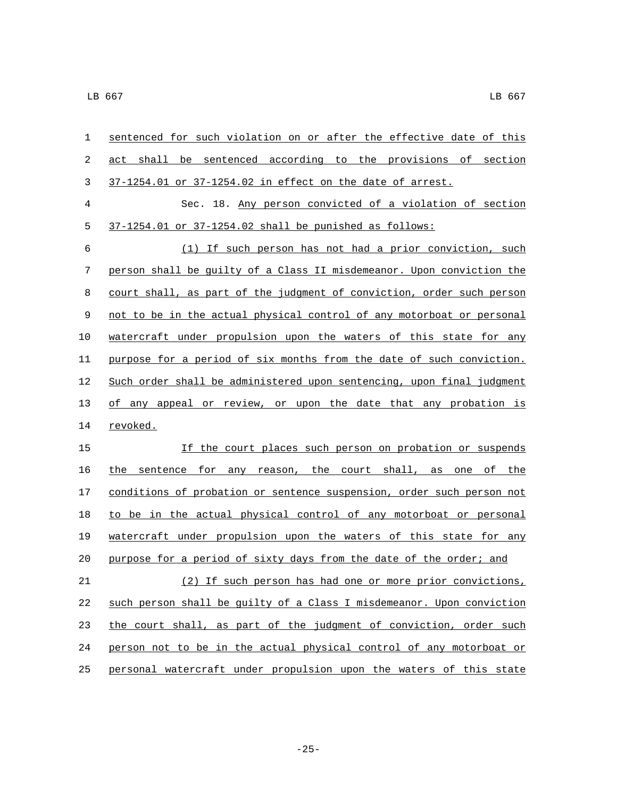| 1  | sentenced for such violation on or after the effective date of this   |
|----|-----------------------------------------------------------------------|
| 2  | shall be sentenced according to the provisions of section<br>act      |
| 3  | 37-1254.01 or 37-1254.02 in effect on the date of arrest.             |
| 4  | Sec. 18. Any person convicted of a violation of section               |
| 5  | $37-1254.01$ or $37-1254.02$ shall be punished as follows:            |
| 6  | (1) If such person has not had a prior conviction, such               |
| 7  | person shall be quilty of a Class II misdemeanor. Upon conviction the |
| 8  | court shall, as part of the judgment of conviction, order such person |
| 9  | not to be in the actual physical control of any motorboat or personal |
| 10 | watercraft under propulsion upon the waters of this state for any     |
| 11 | purpose for a period of six months from the date of such conviction.  |
| 12 | Such order shall be administered upon sentencing, upon final judgment |
| 13 | of any appeal or review, or upon the date that any probation is       |
| 14 | revoked.                                                              |
| 15 | If the court places such person on probation or suspends              |
| 16 | the sentence for any reason, the court shall, as one of the           |
| 17 | conditions of probation or sentence suspension, order such person not |
| 18 | to be in the actual physical control of any motorboat or personal     |
| 19 | watercraft under propulsion upon the waters of this state for any     |
| 20 | purpose for a period of sixty days from the date of the order; and    |
| 21 | (2) If such person has had one or more prior convictions,             |
| 22 | such person shall be quilty of a Class I misdemeanor. Upon conviction |
| 23 | the court shall, as part of the judgment of conviction, order such    |
| 24 | person not to be in the actual physical control of any motorboat or   |
| 25 | personal watercraft under propulsion upon the waters of this state    |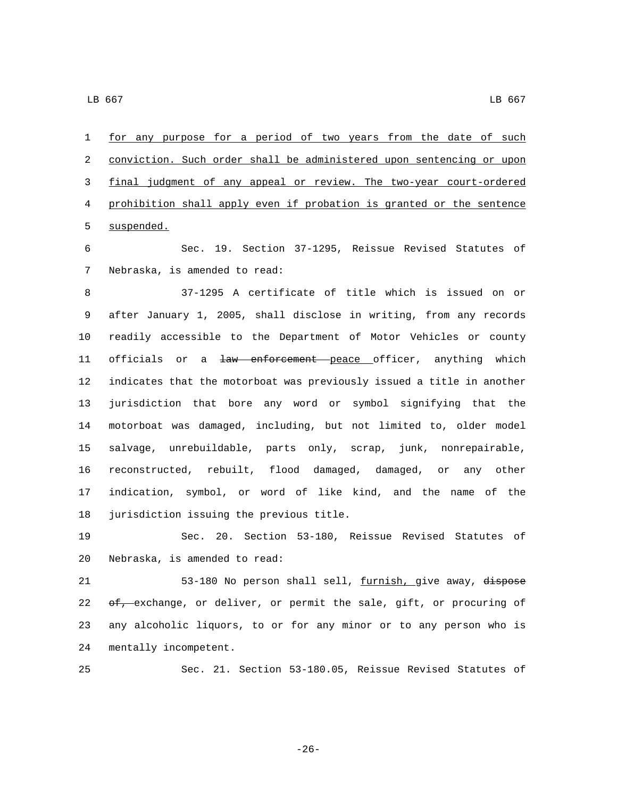for any purpose for a period of two years from the date of such conviction. Such order shall be administered upon sentencing or upon final judgment of any appeal or review. The two-year court-ordered prohibition shall apply even if probation is granted or the sentence 5 suspended.

 Sec. 19. Section 37-1295, Reissue Revised Statutes of 7 Nebraska, is amended to read:

 37-1295 A certificate of title which is issued on or after January 1, 2005, shall disclose in writing, from any records readily accessible to the Department of Motor Vehicles or county 11 officials or a law enforcement peace officer, anything which indicates that the motorboat was previously issued a title in another jurisdiction that bore any word or symbol signifying that the motorboat was damaged, including, but not limited to, older model salvage, unrebuildable, parts only, scrap, junk, nonrepairable, reconstructed, rebuilt, flood damaged, damaged, or any other indication, symbol, or word of like kind, and the name of the 18 jurisdiction issuing the previous title.

 Sec. 20. Section 53-180, Reissue Revised Statutes of 20 Nebraska, is amended to read:

21 53-180 No person shall sell, furnish, give away, dispose 22  $\sigma f$ , exchange, or deliver, or permit the sale, gift, or procuring of any alcoholic liquors, to or for any minor or to any person who is 24 mentally incompetent.

Sec. 21. Section 53-180.05, Reissue Revised Statutes of

-26-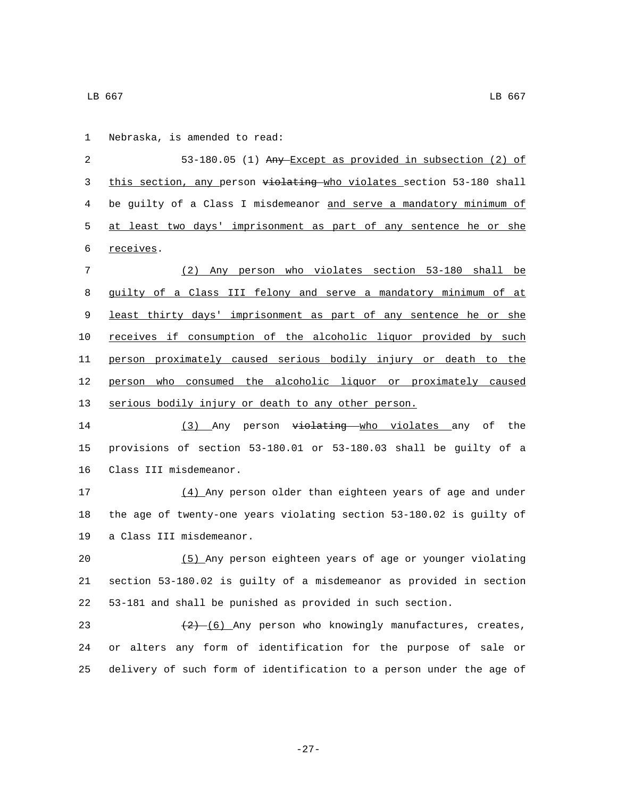1 Nebraska, is amended to read:

 53-180.05 (1) Any Except as provided in subsection (2) of 3 this section, any person violating who violates section 53-180 shall be guilty of a Class I misdemeanor and serve a mandatory minimum of at least two days' imprisonment as part of any sentence he or she 6 receives.

 (2) Any person who violates section 53-180 shall be guilty of a Class III felony and serve a mandatory minimum of at least thirty days' imprisonment as part of any sentence he or she receives if consumption of the alcoholic liquor provided by such person proximately caused serious bodily injury or death to the person who consumed the alcoholic liquor or proximately caused serious bodily injury or death to any other person.

14 (3) Any person violating who violates any of the provisions of section 53-180.01 or 53-180.03 shall be guilty of a 16 Class III misdemeanor.

 (4) Any person older than eighteen years of age and under the age of twenty-one years violating section 53-180.02 is guilty of 19 a Class III misdemeanor.

 (5) Any person eighteen years of age or younger violating section 53-180.02 is guilty of a misdemeanor as provided in section 53-181 and shall be punished as provided in such section.

23  $(2)-(6)$  Any person who knowingly manufactures, creates, or alters any form of identification for the purpose of sale or delivery of such form of identification to a person under the age of

 $\,$  LB 667  $\,$  LB 667  $\,$ 

-27-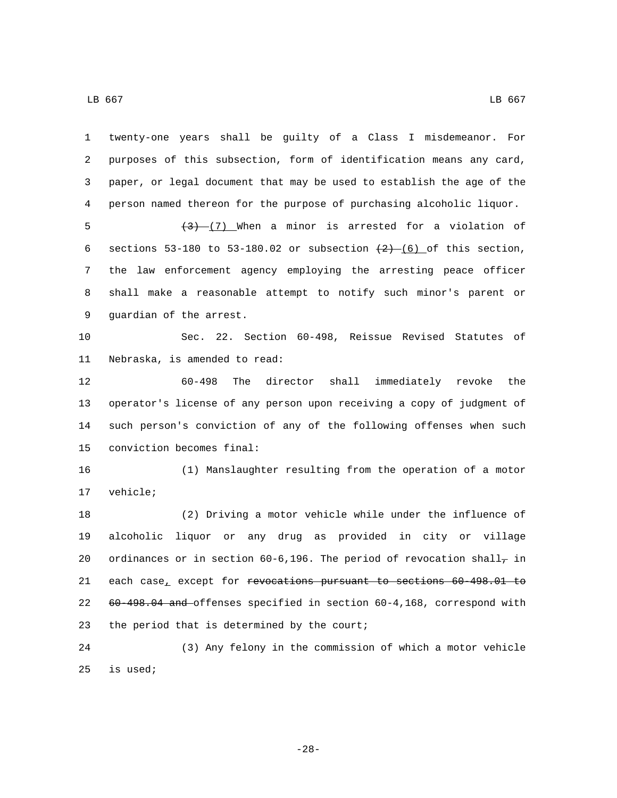| 1  | twenty-one years shall be guilty of a Class I misdemeanor. For                             |
|----|--------------------------------------------------------------------------------------------|
| 2  | purposes of this subsection, form of identification means any card,                        |
| 3  | paper, or legal document that may be used to establish the age of the                      |
| 4  | person named thereon for the purpose of purchasing alcoholic liquor.                       |
| 5  | $(3)$ (7) When a minor is arrested for a violation of                                      |
| 6  | sections 53-180 to 53-180.02 or subsection $\frac{2}{2}$ (6) of this section,              |
| 7  | the law enforcement agency employing the arresting peace officer                           |
| 8  | shall make a reasonable attempt to notify such minor's parent or                           |
| 9  | guardian of the arrest.                                                                    |
| 10 | Sec. 22. Section 60-498, Reissue Revised Statutes of                                       |
| 11 | Nebraska, is amended to read:                                                              |
| 12 | shall immediately revoke the<br>$60 - 498$<br>The director                                 |
| 13 | operator's license of any person upon receiving a copy of judgment of                      |
| 14 | such person's conviction of any of the following offenses when such                        |
| 15 | conviction becomes final:                                                                  |
| 16 | (1) Manslaughter resulting from the operation of a motor                                   |
| 17 | vehicle;                                                                                   |
| 18 | (2) Driving a motor vehicle while under the influence of                                   |
| 19 | alcoholic liquor or any drug as provided in city or village                                |
| 20 | ordinances or in section 60-6,196. The period of revocation shall <sub>7</sub> in          |
| 21 | each case <sub>_</sub> except for <del>revocations pursuant to sections 60-498.01 to</del> |
| 22 | 60-498.04 and offenses specified in section 60-4,168, correspond with                      |
| 23 | the period that is determined by the court;                                                |
| 24 | (3) Any felony in the commission of which a motor vehicle                                  |
| 25 | is used;                                                                                   |
|    |                                                                                            |

-28-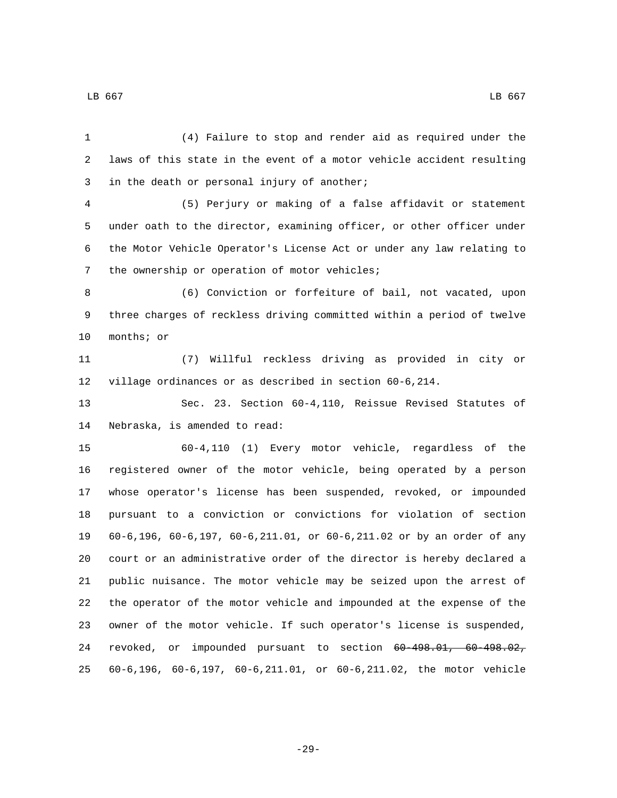| 1  | (4) Failure to stop and render aid as required under the              |
|----|-----------------------------------------------------------------------|
| 2  | laws of this state in the event of a motor vehicle accident resulting |
| 3  | in the death or personal injury of another;                           |
| 4  | (5) Perjury or making of a false affidavit or statement               |
| 5  | under oath to the director, examining officer, or other officer under |
| 6  | the Motor Vehicle Operator's License Act or under any law relating to |
| 7  | the ownership or operation of motor vehicles;                         |
| 8  | (6) Conviction or forfeiture of bail, not vacated, upon               |
| 9  | three charges of reckless driving committed within a period of twelve |
| 10 | months; or                                                            |
| 11 | Willful reckless driving as provided in city or<br>(7)                |
| 12 | village ordinances or as described in section 60-6,214.               |
| 13 | Sec. 23. Section 60-4,110, Reissue Revised Statutes of                |
| 14 | Nebraska, is amended to read:                                         |
| 15 | 60-4,110 (1) Every motor vehicle, regardless of the                   |
| 16 | registered owner of the motor vehicle, being operated by a person     |
| 17 | whose operator's license has been suspended, revoked, or impounded    |
| 18 | pursuant to a conviction or convictions for violation of section      |
| 19 | 60-6,196, 60-6,197, 60-6,211.01, or 60-6,211.02 or by an order of any |
| 20 | court or an administrative order of the director is hereby declared a |
| 21 | public nuisance. The motor vehicle may be seized upon the arrest of   |
| 22 | the operator of the motor vehicle and impounded at the expense of the |
| 23 | owner of the motor vehicle. If such operator's license is suspended,  |
| 24 | revoked, or impounded pursuant to section 60-498.01, 60-498.02,       |
| 25 | 60-6,196, 60-6,197, 60-6,211.01, or 60-6,211.02, the motor vehicle    |

-29-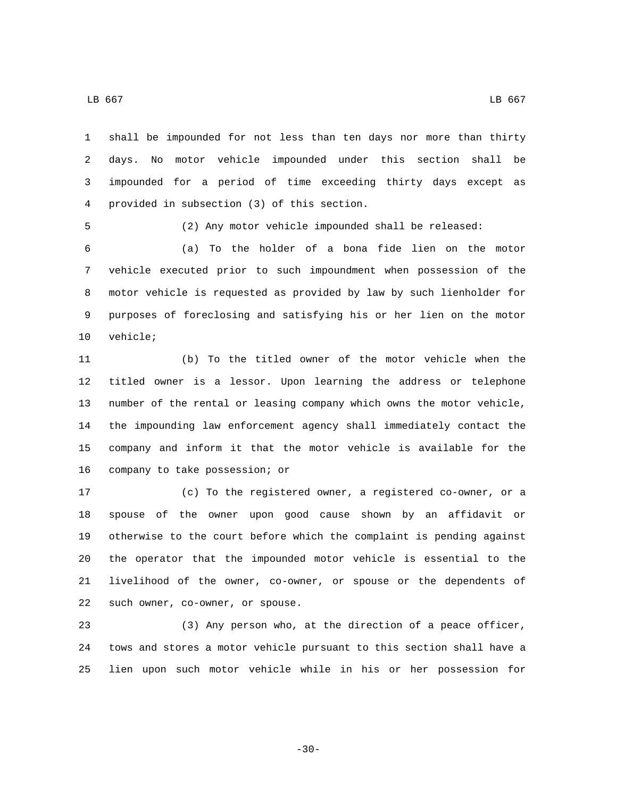shall be impounded for not less than ten days nor more than thirty

 days. No motor vehicle impounded under this section shall be impounded for a period of time exceeding thirty days except as provided in subsection (3) of this section.4

(2) Any motor vehicle impounded shall be released:

 (a) To the holder of a bona fide lien on the motor vehicle executed prior to such impoundment when possession of the motor vehicle is requested as provided by law by such lienholder for purposes of foreclosing and satisfying his or her lien on the motor 10 vehicle;

 (b) To the titled owner of the motor vehicle when the titled owner is a lessor. Upon learning the address or telephone number of the rental or leasing company which owns the motor vehicle, the impounding law enforcement agency shall immediately contact the company and inform it that the motor vehicle is available for the 16 company to take possession; or

 (c) To the registered owner, a registered co-owner, or a spouse of the owner upon good cause shown by an affidavit or otherwise to the court before which the complaint is pending against the operator that the impounded motor vehicle is essential to the livelihood of the owner, co-owner, or spouse or the dependents of 22 such owner, co-owner, or spouse.

 (3) Any person who, at the direction of a peace officer, tows and stores a motor vehicle pursuant to this section shall have a lien upon such motor vehicle while in his or her possession for

-30-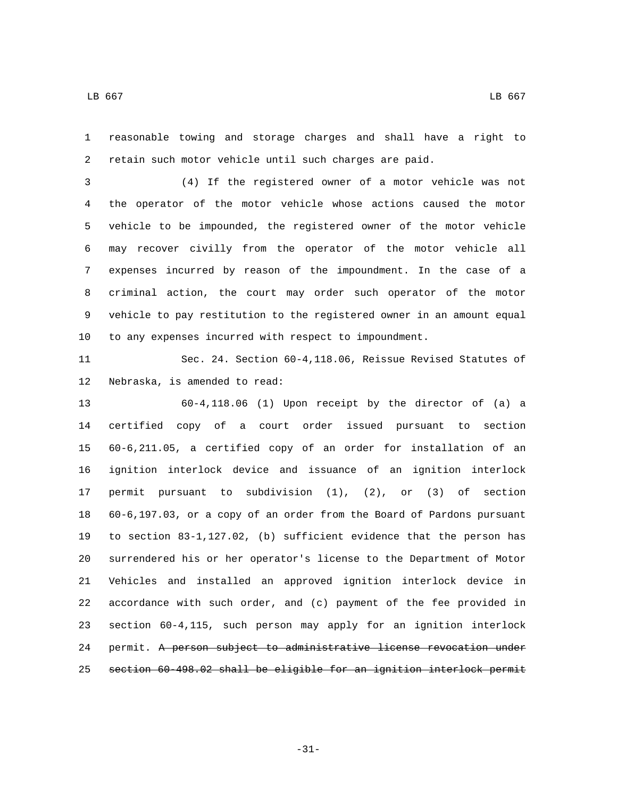reasonable towing and storage charges and shall have a right to retain such motor vehicle until such charges are paid.

 (4) If the registered owner of a motor vehicle was not the operator of the motor vehicle whose actions caused the motor vehicle to be impounded, the registered owner of the motor vehicle may recover civilly from the operator of the motor vehicle all expenses incurred by reason of the impoundment. In the case of a criminal action, the court may order such operator of the motor vehicle to pay restitution to the registered owner in an amount equal to any expenses incurred with respect to impoundment.

 Sec. 24. Section 60-4,118.06, Reissue Revised Statutes of 12 Nebraska, is amended to read:

 60-4,118.06 (1) Upon receipt by the director of (a) a certified copy of a court order issued pursuant to section 60-6,211.05, a certified copy of an order for installation of an ignition interlock device and issuance of an ignition interlock permit pursuant to subdivision (1), (2), or (3) of section 60-6,197.03, or a copy of an order from the Board of Pardons pursuant to section 83-1,127.02, (b) sufficient evidence that the person has surrendered his or her operator's license to the Department of Motor Vehicles and installed an approved ignition interlock device in accordance with such order, and (c) payment of the fee provided in section 60-4,115, such person may apply for an ignition interlock permit. A person subject to administrative license revocation under section 60-498.02 shall be eligible for an ignition interlock permit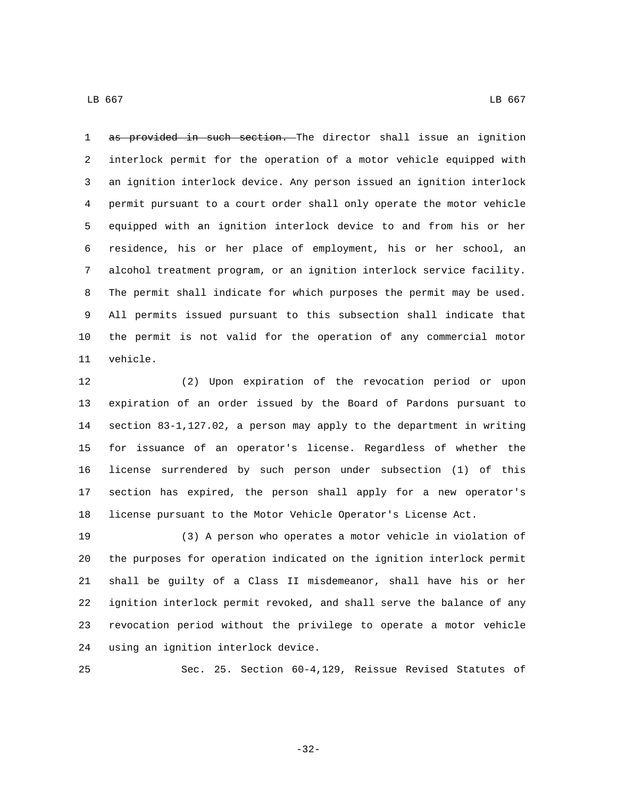1 as provided in such section. The director shall issue an ignition interlock permit for the operation of a motor vehicle equipped with an ignition interlock device. Any person issued an ignition interlock permit pursuant to a court order shall only operate the motor vehicle equipped with an ignition interlock device to and from his or her residence, his or her place of employment, his or her school, an alcohol treatment program, or an ignition interlock service facility. The permit shall indicate for which purposes the permit may be used. All permits issued pursuant to this subsection shall indicate that the permit is not valid for the operation of any commercial motor 11 vehicle.

 (2) Upon expiration of the revocation period or upon expiration of an order issued by the Board of Pardons pursuant to section 83-1,127.02, a person may apply to the department in writing for issuance of an operator's license. Regardless of whether the license surrendered by such person under subsection (1) of this section has expired, the person shall apply for a new operator's license pursuant to the Motor Vehicle Operator's License Act.

 (3) A person who operates a motor vehicle in violation of the purposes for operation indicated on the ignition interlock permit shall be guilty of a Class II misdemeanor, shall have his or her ignition interlock permit revoked, and shall serve the balance of any revocation period without the privilege to operate a motor vehicle 24 using an ignition interlock device.

Sec. 25. Section 60-4,129, Reissue Revised Statutes of

-32-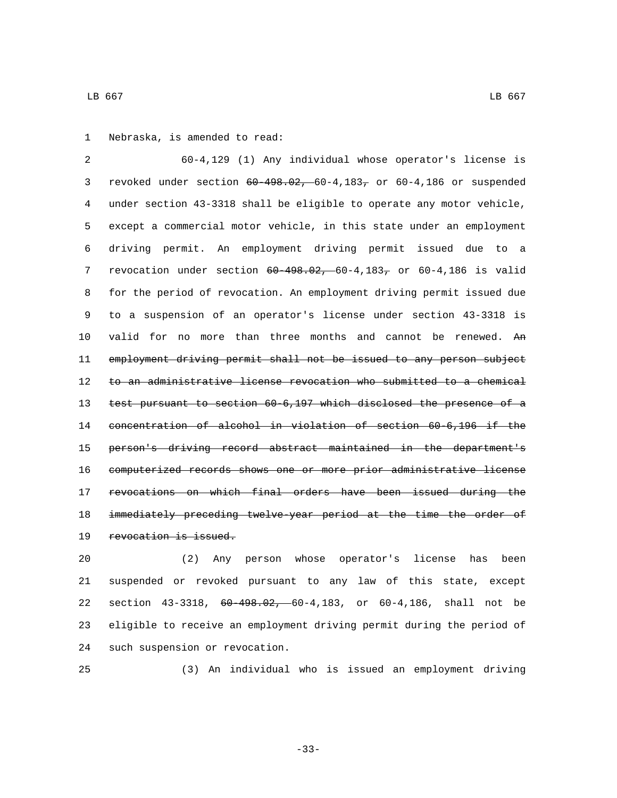1 Nebraska, is amended to read:

 60-4,129 (1) Any individual whose operator's license is revoked under section 60-498.02, 60-4,183, or 60-4,186 or suspended under section 43-3318 shall be eligible to operate any motor vehicle, except a commercial motor vehicle, in this state under an employment driving permit. An employment driving permit issued due to a 7 revocation under section  $60-498.02, -60-4, 183$ , or  $60-4, 186$  is valid for the period of revocation. An employment driving permit issued due to a suspension of an operator's license under section 43-3318 is 10 valid for no more than three months and cannot be renewed. An employment driving permit shall not be issued to any person subject to an administrative license revocation who submitted to a chemical test pursuant to section 60-6,197 which disclosed the presence of a concentration of alcohol in violation of section 60-6,196 if the person's driving record abstract maintained in the department's computerized records shows one or more prior administrative license revocations on which final orders have been issued during the 18 immediately preceding twelve-year period at the time the order of 19 revocation is issued.

 (2) Any person whose operator's license has been suspended or revoked pursuant to any law of this state, except section 43-3318, 60-498.02, 60-4,183, or 60-4,186, shall not be eligible to receive an employment driving permit during the period of 24 such suspension or revocation.

(3) An individual who is issued an employment driving

-33-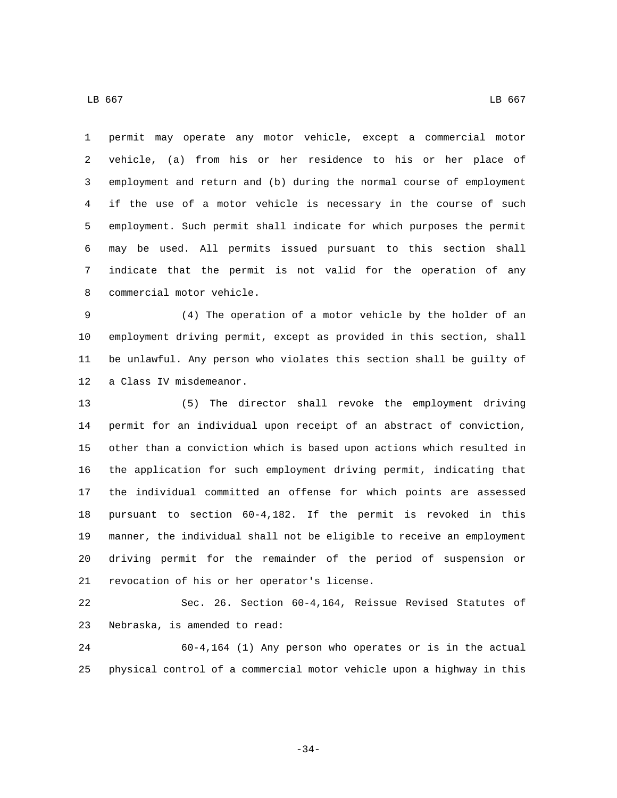permit may operate any motor vehicle, except a commercial motor vehicle, (a) from his or her residence to his or her place of employment and return and (b) during the normal course of employment if the use of a motor vehicle is necessary in the course of such employment. Such permit shall indicate for which purposes the permit may be used. All permits issued pursuant to this section shall indicate that the permit is not valid for the operation of any 8 commercial motor vehicle.

 (4) The operation of a motor vehicle by the holder of an employment driving permit, except as provided in this section, shall be unlawful. Any person who violates this section shall be guilty of 12 a Class IV misdemeanor.

 (5) The director shall revoke the employment driving permit for an individual upon receipt of an abstract of conviction, other than a conviction which is based upon actions which resulted in the application for such employment driving permit, indicating that the individual committed an offense for which points are assessed pursuant to section 60-4,182. If the permit is revoked in this manner, the individual shall not be eligible to receive an employment driving permit for the remainder of the period of suspension or 21 revocation of his or her operator's license.

 Sec. 26. Section 60-4,164, Reissue Revised Statutes of 23 Nebraska, is amended to read:

 60-4,164 (1) Any person who operates or is in the actual physical control of a commercial motor vehicle upon a highway in this

-34-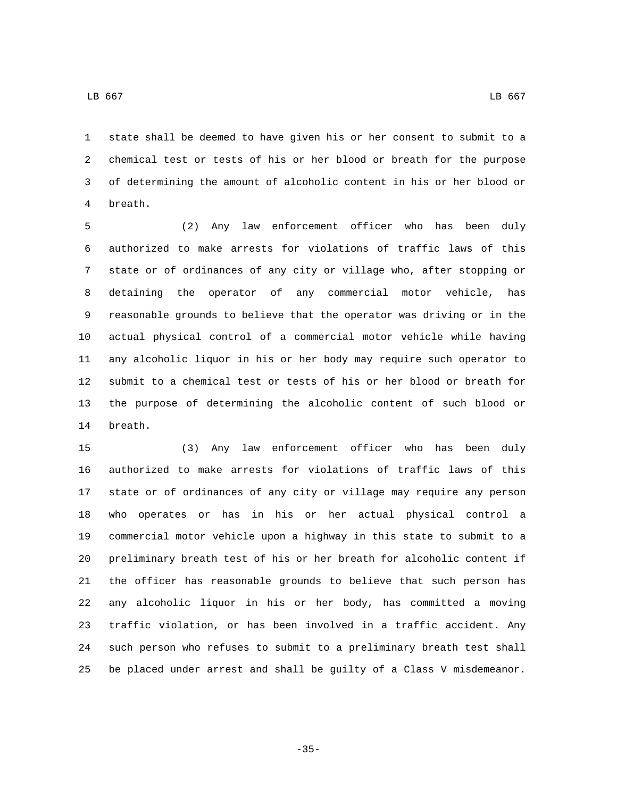state shall be deemed to have given his or her consent to submit to a chemical test or tests of his or her blood or breath for the purpose of determining the amount of alcoholic content in his or her blood or breath.4

 (2) Any law enforcement officer who has been duly authorized to make arrests for violations of traffic laws of this state or of ordinances of any city or village who, after stopping or detaining the operator of any commercial motor vehicle, has reasonable grounds to believe that the operator was driving or in the actual physical control of a commercial motor vehicle while having any alcoholic liquor in his or her body may require such operator to submit to a chemical test or tests of his or her blood or breath for the purpose of determining the alcoholic content of such blood or 14 breath.

 (3) Any law enforcement officer who has been duly authorized to make arrests for violations of traffic laws of this state or of ordinances of any city or village may require any person who operates or has in his or her actual physical control a commercial motor vehicle upon a highway in this state to submit to a preliminary breath test of his or her breath for alcoholic content if the officer has reasonable grounds to believe that such person has any alcoholic liquor in his or her body, has committed a moving traffic violation, or has been involved in a traffic accident. Any such person who refuses to submit to a preliminary breath test shall be placed under arrest and shall be guilty of a Class V misdemeanor.

-35-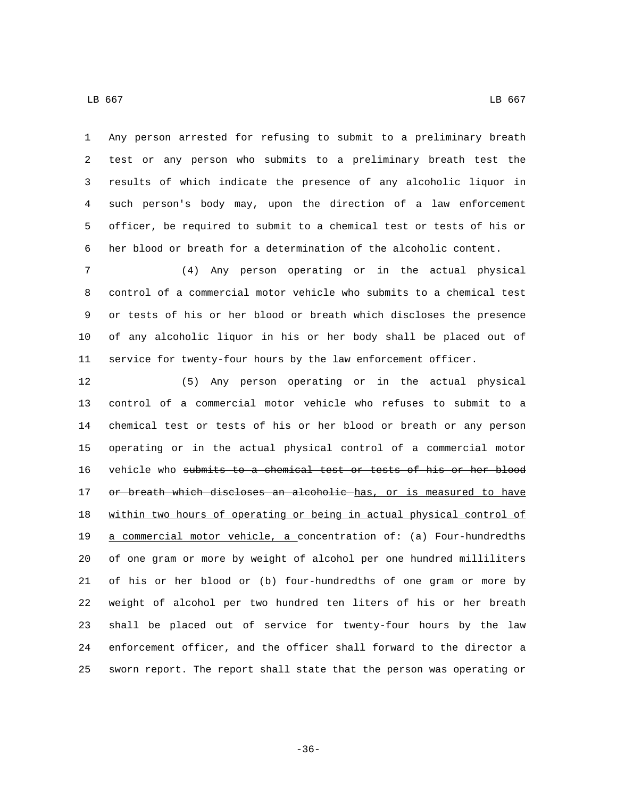Any person arrested for refusing to submit to a preliminary breath test or any person who submits to a preliminary breath test the results of which indicate the presence of any alcoholic liquor in such person's body may, upon the direction of a law enforcement officer, be required to submit to a chemical test or tests of his or her blood or breath for a determination of the alcoholic content.

 (4) Any person operating or in the actual physical control of a commercial motor vehicle who submits to a chemical test or tests of his or her blood or breath which discloses the presence of any alcoholic liquor in his or her body shall be placed out of service for twenty-four hours by the law enforcement officer.

 (5) Any person operating or in the actual physical control of a commercial motor vehicle who refuses to submit to a chemical test or tests of his or her blood or breath or any person operating or in the actual physical control of a commercial motor vehicle who submits to a chemical test or tests of his or her blood 17 or breath which discloses an alcoholic has, or is measured to have within two hours of operating or being in actual physical control of a commercial motor vehicle, a concentration of: (a) Four-hundredths of one gram or more by weight of alcohol per one hundred milliliters of his or her blood or (b) four-hundredths of one gram or more by weight of alcohol per two hundred ten liters of his or her breath shall be placed out of service for twenty-four hours by the law enforcement officer, and the officer shall forward to the director a sworn report. The report shall state that the person was operating or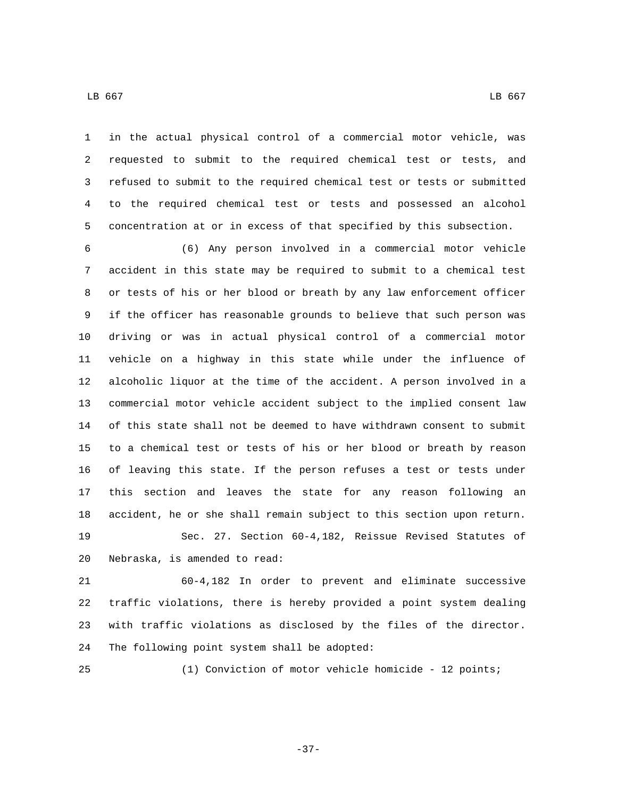in the actual physical control of a commercial motor vehicle, was requested to submit to the required chemical test or tests, and refused to submit to the required chemical test or tests or submitted to the required chemical test or tests and possessed an alcohol concentration at or in excess of that specified by this subsection.

 (6) Any person involved in a commercial motor vehicle accident in this state may be required to submit to a chemical test or tests of his or her blood or breath by any law enforcement officer if the officer has reasonable grounds to believe that such person was driving or was in actual physical control of a commercial motor vehicle on a highway in this state while under the influence of alcoholic liquor at the time of the accident. A person involved in a commercial motor vehicle accident subject to the implied consent law of this state shall not be deemed to have withdrawn consent to submit to a chemical test or tests of his or her blood or breath by reason of leaving this state. If the person refuses a test or tests under this section and leaves the state for any reason following an accident, he or she shall remain subject to this section upon return. Sec. 27. Section 60-4,182, Reissue Revised Statutes of 20 Nebraska, is amended to read:

 60-4,182 In order to prevent and eliminate successive traffic violations, there is hereby provided a point system dealing with traffic violations as disclosed by the files of the director. 24 The following point system shall be adopted:

(1) Conviction of motor vehicle homicide - 12 points;

-37-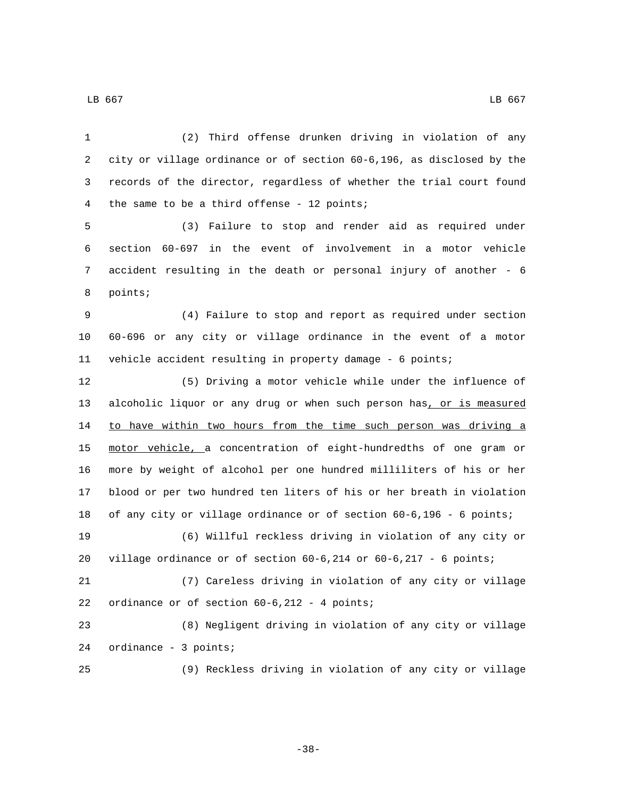(2) Third offense drunken driving in violation of any city or village ordinance or of section 60-6,196, as disclosed by the records of the director, regardless of whether the trial court found 4 the same to be a third offense - 12 points; (3) Failure to stop and render aid as required under section 60-697 in the event of involvement in a motor vehicle accident resulting in the death or personal injury of another - 6 8 points; (4) Failure to stop and report as required under section 60-696 or any city or village ordinance in the event of a motor vehicle accident resulting in property damage - 6 points; (5) Driving a motor vehicle while under the influence of alcoholic liquor or any drug or when such person has, or is measured 14 to have within two hours from the time such person was driving a motor vehicle, a concentration of eight-hundredths of one gram or more by weight of alcohol per one hundred milliliters of his or her blood or per two hundred ten liters of his or her breath in violation of any city or village ordinance or of section 60-6,196 - 6 points; (6) Willful reckless driving in violation of any city or village ordinance or of section 60-6,214 or 60-6,217 - 6 points; (7) Careless driving in violation of any city or village 22 ordinance or of section  $60-6,212 - 4$  points;

 (8) Negligent driving in violation of any city or village 24 ordinance - 3 points;

(9) Reckless driving in violation of any city or village

-38-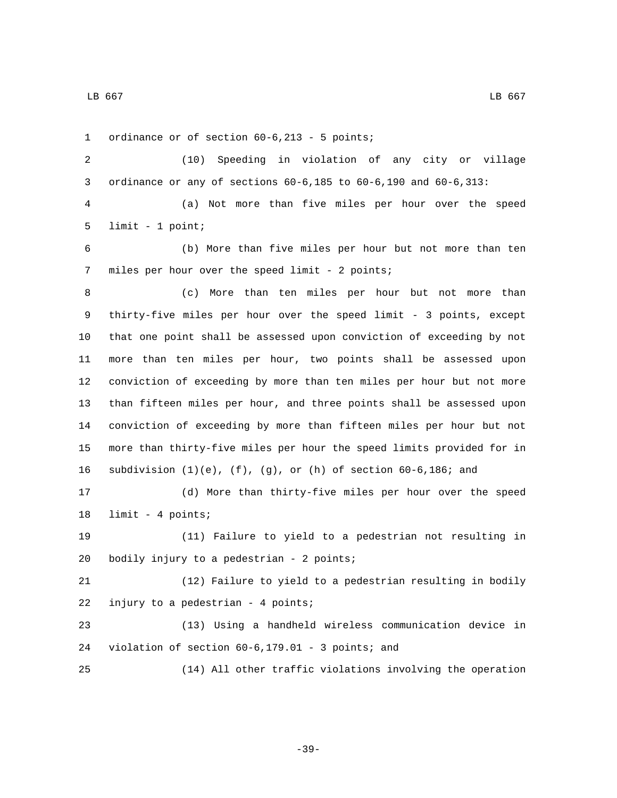1 ordinance or of section 60-6,213 - 5 points;

 (10) Speeding in violation of any city or village ordinance or any of sections 60-6,185 to 60-6,190 and 60-6,313:

 (a) Not more than five miles per hour over the speed 5  $limit - 1 point;$ 

 (b) More than five miles per hour but not more than ten 7 miles per hour over the speed limit - 2 points;

 (c) More than ten miles per hour but not more than thirty-five miles per hour over the speed limit - 3 points, except that one point shall be assessed upon conviction of exceeding by not more than ten miles per hour, two points shall be assessed upon conviction of exceeding by more than ten miles per hour but not more than fifteen miles per hour, and three points shall be assessed upon conviction of exceeding by more than fifteen miles per hour but not more than thirty-five miles per hour the speed limits provided for in 16 subdivision  $(1)(e)$ ,  $(f)$ ,  $(g)$ , or  $(h)$  of section 60-6,186; and

 (d) More than thirty-five miles per hour over the speed 18 limit - 4 points;

 (11) Failure to yield to a pedestrian not resulting in 20 bodily injury to a pedestrian - 2 points;

 (12) Failure to yield to a pedestrian resulting in bodily 22 injury to a pedestrian - 4 points;

 (13) Using a handheld wireless communication device in 24 violation of section  $60-6,179.01$  - 3 points; and

(14) All other traffic violations involving the operation

-39-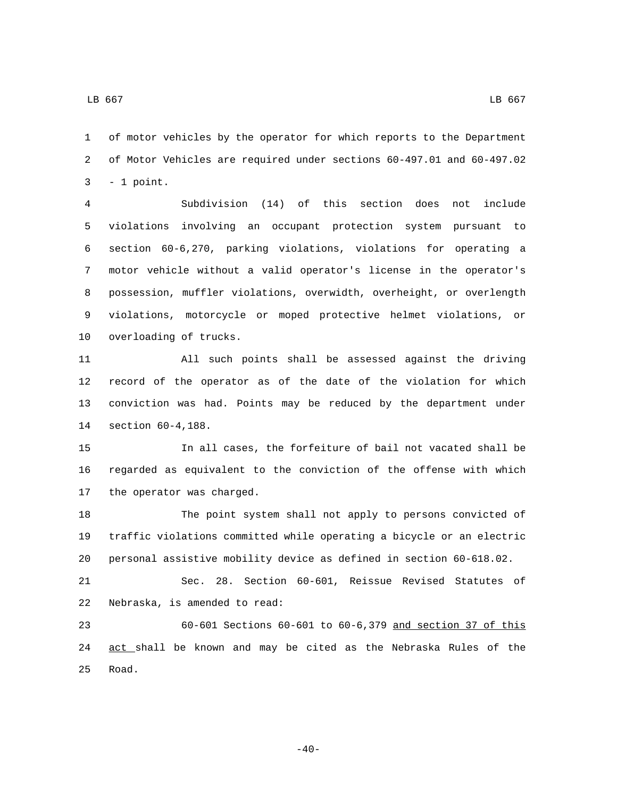of motor vehicles by the operator for which reports to the Department of Motor Vehicles are required under sections 60-497.01 and 60-497.02  $3 - 1$  point.

 Subdivision (14) of this section does not include violations involving an occupant protection system pursuant to section 60-6,270, parking violations, violations for operating a motor vehicle without a valid operator's license in the operator's possession, muffler violations, overwidth, overheight, or overlength violations, motorcycle or moped protective helmet violations, or 10 overloading of trucks.

 All such points shall be assessed against the driving record of the operator as of the date of the violation for which conviction was had. Points may be reduced by the department under 14 section 60-4,188.

 In all cases, the forfeiture of bail not vacated shall be regarded as equivalent to the conviction of the offense with which 17 the operator was charged.

 The point system shall not apply to persons convicted of traffic violations committed while operating a bicycle or an electric personal assistive mobility device as defined in section 60-618.02.

 Sec. 28. Section 60-601, Reissue Revised Statutes of 22 Nebraska, is amended to read:

 60-601 Sections 60-601 to 60-6,379 and section 37 of this 24 act shall be known and may be cited as the Nebraska Rules of the 25 Road.

 $-40-$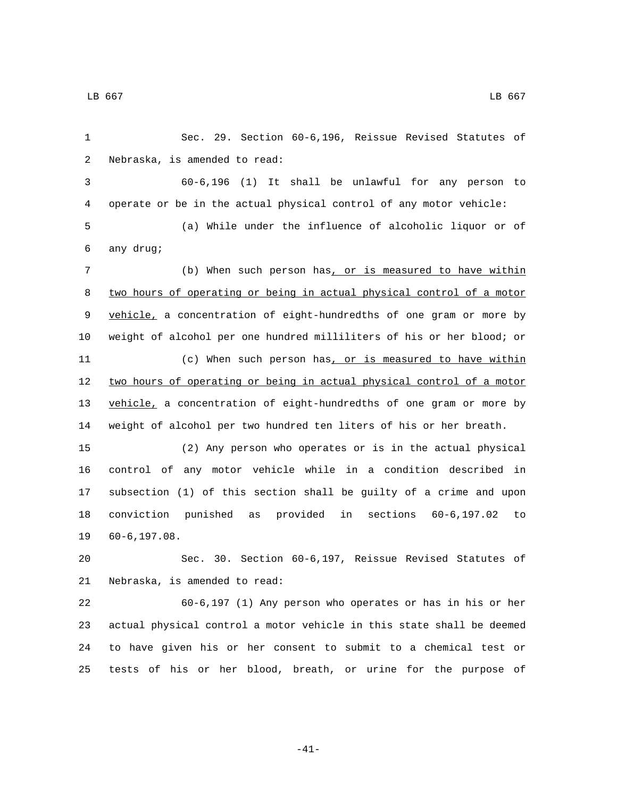Sec. 29. Section 60-6,196, Reissue Revised Statutes of 2 Nebraska, is amended to read: 60-6,196 (1) It shall be unlawful for any person to operate or be in the actual physical control of any motor vehicle: (a) While under the influence of alcoholic liquor or of any drug;6 (b) When such person has, or is measured to have within two hours of operating or being in actual physical control of a motor 9 vehicle, a concentration of eight-hundredths of one gram or more by weight of alcohol per one hundred milliliters of his or her blood; or 11 (c) When such person has, or is measured to have within 12 two hours of operating or being in actual physical control of a motor 13 vehicle, a concentration of eight-hundredths of one gram or more by weight of alcohol per two hundred ten liters of his or her breath. (2) Any person who operates or is in the actual physical control of any motor vehicle while in a condition described in subsection (1) of this section shall be guilty of a crime and upon conviction punished as provided in sections 60-6,197.02 to 19 60-6,197.08. Sec. 30. Section 60-6,197, Reissue Revised Statutes of 21 Nebraska, is amended to read: 60-6,197 (1) Any person who operates or has in his or her actual physical control a motor vehicle in this state shall be deemed to have given his or her consent to submit to a chemical test or tests of his or her blood, breath, or urine for the purpose of

-41-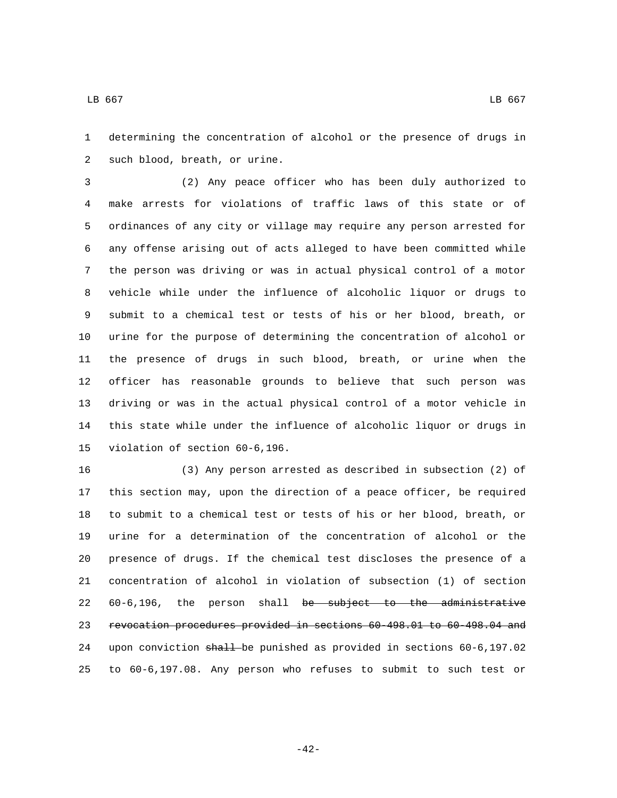determining the concentration of alcohol or the presence of drugs in 2 such blood, breath, or urine.

 (2) Any peace officer who has been duly authorized to make arrests for violations of traffic laws of this state or of ordinances of any city or village may require any person arrested for any offense arising out of acts alleged to have been committed while the person was driving or was in actual physical control of a motor vehicle while under the influence of alcoholic liquor or drugs to submit to a chemical test or tests of his or her blood, breath, or urine for the purpose of determining the concentration of alcohol or the presence of drugs in such blood, breath, or urine when the officer has reasonable grounds to believe that such person was driving or was in the actual physical control of a motor vehicle in this state while under the influence of alcoholic liquor or drugs in 15 violation of section 60-6,196.

 (3) Any person arrested as described in subsection (2) of this section may, upon the direction of a peace officer, be required to submit to a chemical test or tests of his or her blood, breath, or urine for a determination of the concentration of alcohol or the presence of drugs. If the chemical test discloses the presence of a concentration of alcohol in violation of subsection (1) of section 60-6,196, the person shall be subject to the administrative revocation procedures provided in sections 60-498.01 to 60-498.04 and upon conviction shall be punished as provided in sections 60-6,197.02 to 60-6,197.08. Any person who refuses to submit to such test or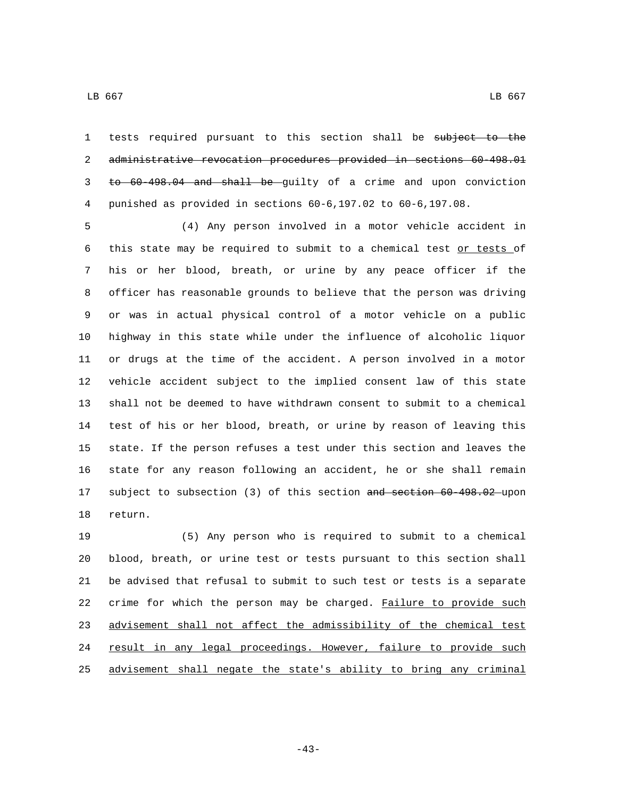tests required pursuant to this section shall be subject to the administrative revocation procedures provided in sections 60-498.01 to 60-498.04 and shall be guilty of a crime and upon conviction punished as provided in sections 60-6,197.02 to 60-6,197.08.

 (4) Any person involved in a motor vehicle accident in this state may be required to submit to a chemical test or tests of his or her blood, breath, or urine by any peace officer if the officer has reasonable grounds to believe that the person was driving or was in actual physical control of a motor vehicle on a public highway in this state while under the influence of alcoholic liquor or drugs at the time of the accident. A person involved in a motor vehicle accident subject to the implied consent law of this state shall not be deemed to have withdrawn consent to submit to a chemical test of his or her blood, breath, or urine by reason of leaving this state. If the person refuses a test under this section and leaves the state for any reason following an accident, he or she shall remain subject to subsection (3) of this section and section 60-498.02 upon 18 return.

 (5) Any person who is required to submit to a chemical blood, breath, or urine test or tests pursuant to this section shall be advised that refusal to submit to such test or tests is a separate crime for which the person may be charged. Failure to provide such advisement shall not affect the admissibility of the chemical test 24 result in any legal proceedings. However, failure to provide such advisement shall negate the state's ability to bring any criminal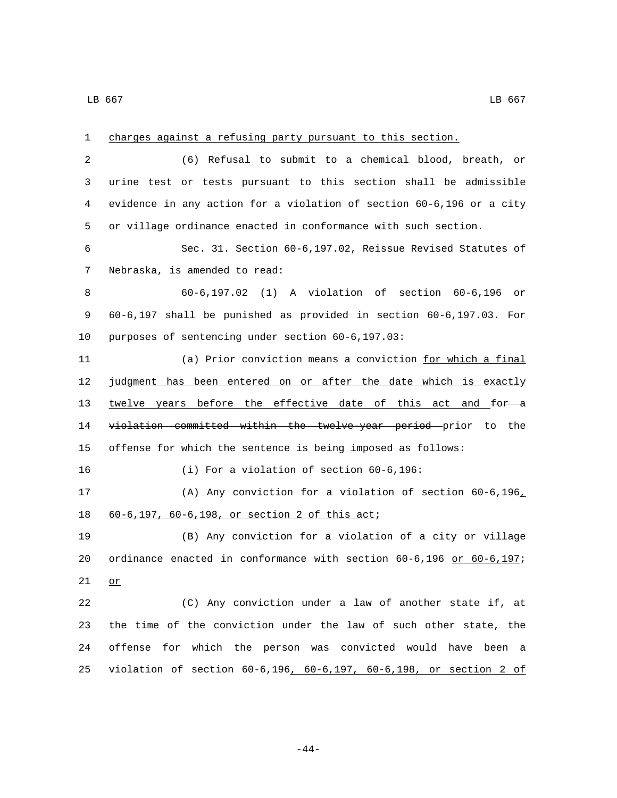| $\mathbf 1$ | charges against a refusing party pursuant to this section.               |
|-------------|--------------------------------------------------------------------------|
| 2           | (6) Refusal to submit to a chemical blood, breath, or                    |
| 3           | urine test or tests pursuant to this section shall be admissible         |
| 4           | evidence in any action for a violation of section 60-6,196 or a city     |
| 5           | or village ordinance enacted in conformance with such section.           |
| 6           | Sec. 31. Section 60-6,197.02, Reissue Revised Statutes of                |
| 7           | Nebraska, is amended to read:                                            |
| 8           | 60-6,197.02 (1) A violation of section 60-6,196<br>or                    |
| 9           | $60-6,197$ shall be punished as provided in section $60-6,197.03$ . For  |
| 10          | purposes of sentencing under section 60-6,197.03:                        |
| 11          | (a) Prior conviction means a conviction for which a final                |
| 12          | judgment has been entered on or after the date which is exactly          |
| 13          | twelve years before the effective date of this act and for a             |
| 14          | violation committed within the twelve-year period prior to the           |
| 15          | offense for which the sentence is being imposed as follows:              |
| 16          | (i) For a violation of section 60-6,196:                                 |
| 17          | (A) Any conviction for a violation of section $60-6,196L$                |
| 18          | 60-6,197, 60-6,198, or section 2 of this act;                            |
| 19          | (B) Any conviction for a violation of a city or village                  |
| 20          | ordinance enacted in conformance with section $60-6,196$ or $60-6,197$ ; |
| 21          | or                                                                       |
| 22          | (C) Any conviction under a law of another state if, at                   |
| 23          | the time of the conviction under the law of such other state, the        |
| 24          | offense for which the person was convicted would have been a             |
| 25          | violation of section 60-6,196, 60-6,197, 60-6,198, or section 2 of       |

-44-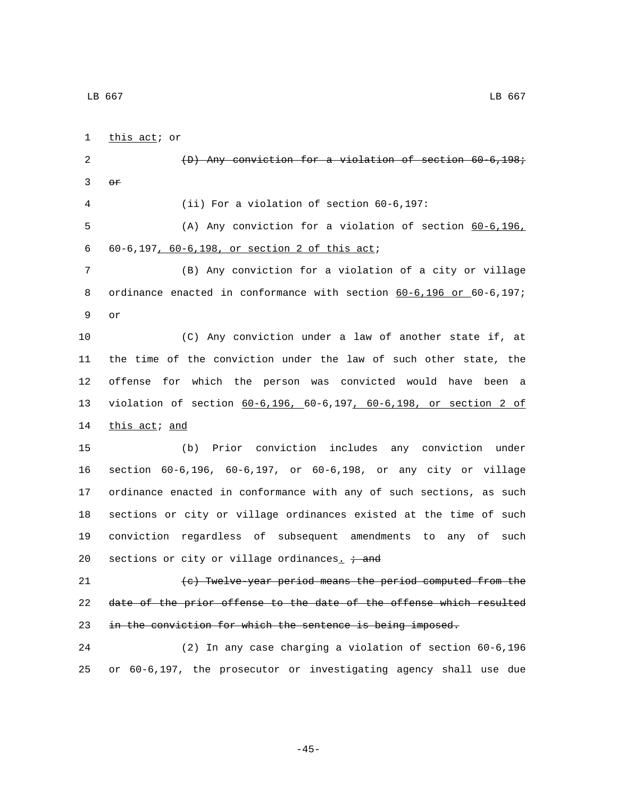1 this act; or (D) Any conviction for a violation of section 60-6,198;  $\Theta$ r (ii) For a violation of section 60-6,197: (A) Any conviction for a violation of section 60-6,196, 60-6,197, 60-6,198, or section 2 of this act;6 (B) Any conviction for a violation of a city or village 8 ordinance enacted in conformance with section 60-6,196 or 60-6,197; 9 or (C) Any conviction under a law of another state if, at the time of the conviction under the law of such other state, the offense for which the person was convicted would have been a violation of section 60-6,196, 60-6,197, 60-6,198, or section 2 of 14 this act; and (b) Prior conviction includes any conviction under section 60-6,196, 60-6,197, or 60-6,198, or any city or village ordinance enacted in conformance with any of such sections, as such sections or city or village ordinances existed at the time of such conviction regardless of subsequent amendments to any of such 20 sections or city or village ordinances<sub>.</sub>  $\div$  and (c) Twelve-year period means the period computed from the date of the prior offense to the date of the offense which resulted 23 in the conviction for which the sentence is being imposed. (2) In any case charging a violation of section 60-6,196 or 60-6,197, the prosecutor or investigating agency shall use due

-45-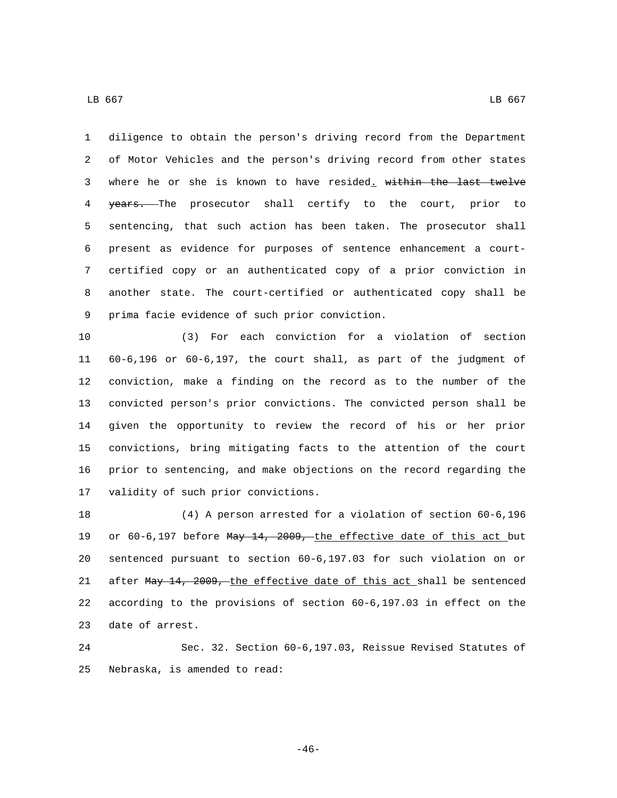diligence to obtain the person's driving record from the Department of Motor Vehicles and the person's driving record from other states where he or she is known to have resided. within the last twelve 4 years. The prosecutor shall certify to the court, prior to sentencing, that such action has been taken. The prosecutor shall present as evidence for purposes of sentence enhancement a court-certified copy or an authenticated copy of a prior conviction in

 another state. The court-certified or authenticated copy shall be 9 prima facie evidence of such prior conviction.

 (3) For each conviction for a violation of section 60-6,196 or 60-6,197, the court shall, as part of the judgment of conviction, make a finding on the record as to the number of the convicted person's prior convictions. The convicted person shall be given the opportunity to review the record of his or her prior convictions, bring mitigating facts to the attention of the court prior to sentencing, and make objections on the record regarding the 17 validity of such prior convictions.

 (4) A person arrested for a violation of section 60-6,196 19 or 60-6,197 before May 14, 2009, the effective date of this act but sentenced pursuant to section 60-6,197.03 for such violation on or 21 after May 14, 2009, the effective date of this act shall be sentenced according to the provisions of section 60-6,197.03 in effect on the 23 date of arrest.

 Sec. 32. Section 60-6,197.03, Reissue Revised Statutes of 25 Nebraska, is amended to read:

-46-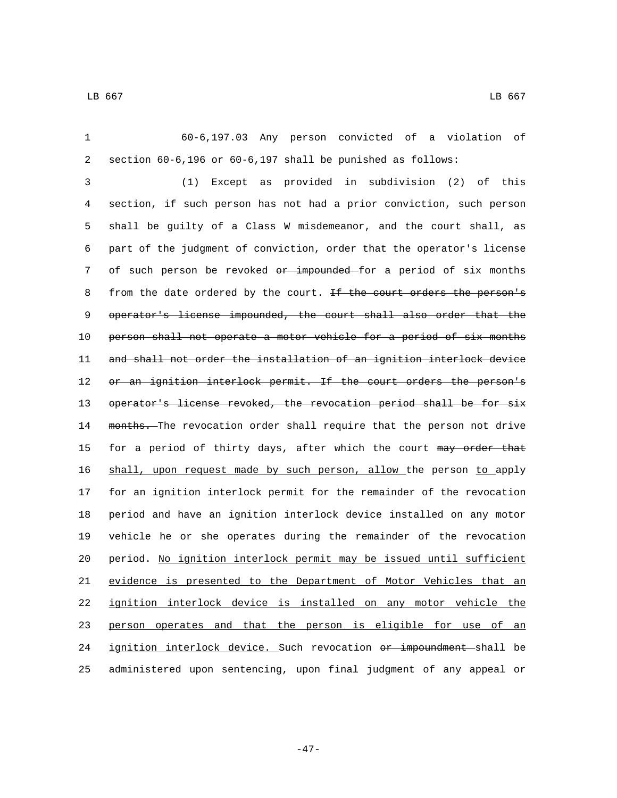60-6,197.03 Any person convicted of a violation of section 60-6,196 or 60-6,197 shall be punished as follows: (1) Except as provided in subdivision (2) of this section, if such person has not had a prior conviction, such person shall be guilty of a Class W misdemeanor, and the court shall, as part of the judgment of conviction, order that the operator's license 7 of such person be revoked or impounded for a period of six months 8 from the date ordered by the court. If the court orders the person's 9 operator's license impounded, the court shall also order that the 10 person shall not operate a motor vehicle for a period of six months and shall not order the installation of an ignition interlock device 12 or an ignition interlock permit. If the court orders the person's 13 operator's license revoked, the revocation period shall be for six 14 months. The revocation order shall require that the person not drive 15 for a period of thirty days, after which the court may order that shall, upon request made by such person, allow the person to apply for an ignition interlock permit for the remainder of the revocation period and have an ignition interlock device installed on any motor vehicle he or she operates during the remainder of the revocation period. No ignition interlock permit may be issued until sufficient evidence is presented to the Department of Motor Vehicles that an ignition interlock device is installed on any motor vehicle the person operates and that the person is eligible for use of an 24 ignition interlock device. Such revocation or impoundment shall be administered upon sentencing, upon final judgment of any appeal or

-47-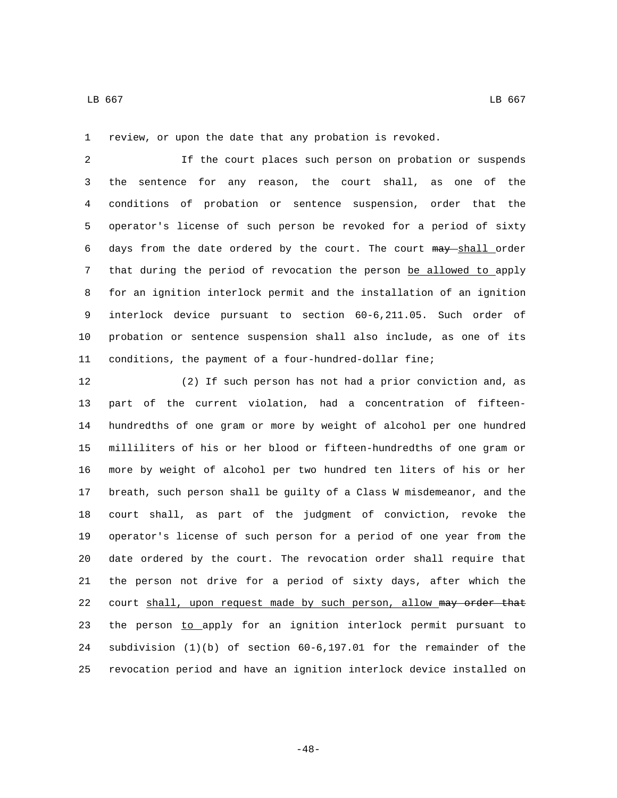review, or upon the date that any probation is revoked.

 If the court places such person on probation or suspends the sentence for any reason, the court shall, as one of the conditions of probation or sentence suspension, order that the operator's license of such person be revoked for a period of sixty 6 days from the date ordered by the court. The court may shall order that during the period of revocation the person be allowed to apply for an ignition interlock permit and the installation of an ignition interlock device pursuant to section 60-6,211.05. Such order of probation or sentence suspension shall also include, as one of its conditions, the payment of a four-hundred-dollar fine;

 (2) If such person has not had a prior conviction and, as part of the current violation, had a concentration of fifteen- hundredths of one gram or more by weight of alcohol per one hundred milliliters of his or her blood or fifteen-hundredths of one gram or more by weight of alcohol per two hundred ten liters of his or her breath, such person shall be guilty of a Class W misdemeanor, and the court shall, as part of the judgment of conviction, revoke the operator's license of such person for a period of one year from the date ordered by the court. The revocation order shall require that the person not drive for a period of sixty days, after which the 22 court shall, upon request made by such person, allow may order that 23 the person to apply for an ignition interlock permit pursuant to subdivision (1)(b) of section 60-6,197.01 for the remainder of the revocation period and have an ignition interlock device installed on

-48-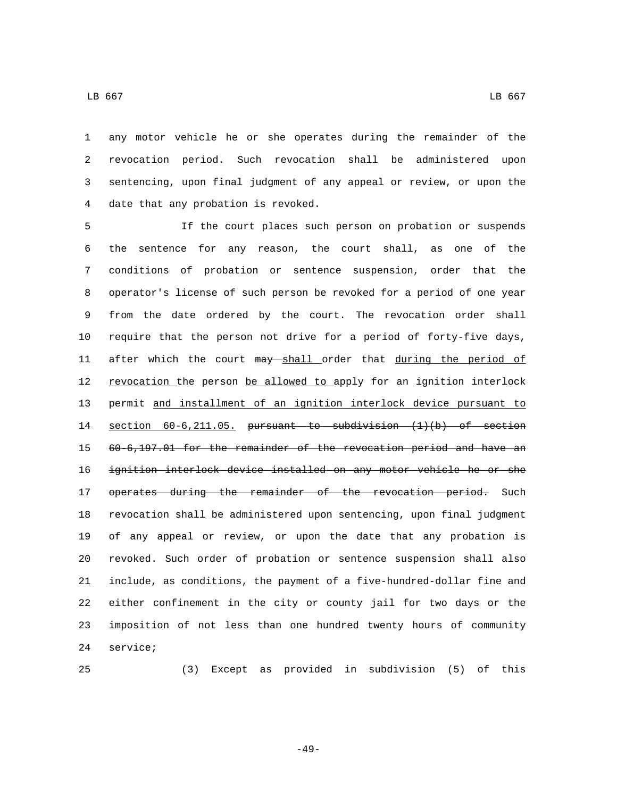any motor vehicle he or she operates during the remainder of the revocation period. Such revocation shall be administered upon sentencing, upon final judgment of any appeal or review, or upon the 4 date that any probation is revoked.

 If the court places such person on probation or suspends the sentence for any reason, the court shall, as one of the conditions of probation or sentence suspension, order that the operator's license of such person be revoked for a period of one year from the date ordered by the court. The revocation order shall require that the person not drive for a period of forty-five days, 11 after which the court may shall order that during the period of 12 revocation the person be allowed to apply for an ignition interlock permit and installment of an ignition interlock device pursuant to section 60-6,211.05. pursuant to subdivision (1)(b) of section 60-6,197.01 for the remainder of the revocation period and have an ignition interlock device installed on any motor vehicle he or she 17 operates during the remainder of the revocation period. Such revocation shall be administered upon sentencing, upon final judgment of any appeal or review, or upon the date that any probation is revoked. Such order of probation or sentence suspension shall also include, as conditions, the payment of a five-hundred-dollar fine and either confinement in the city or county jail for two days or the imposition of not less than one hundred twenty hours of community 24 service;

(3) Except as provided in subdivision (5) of this

-49-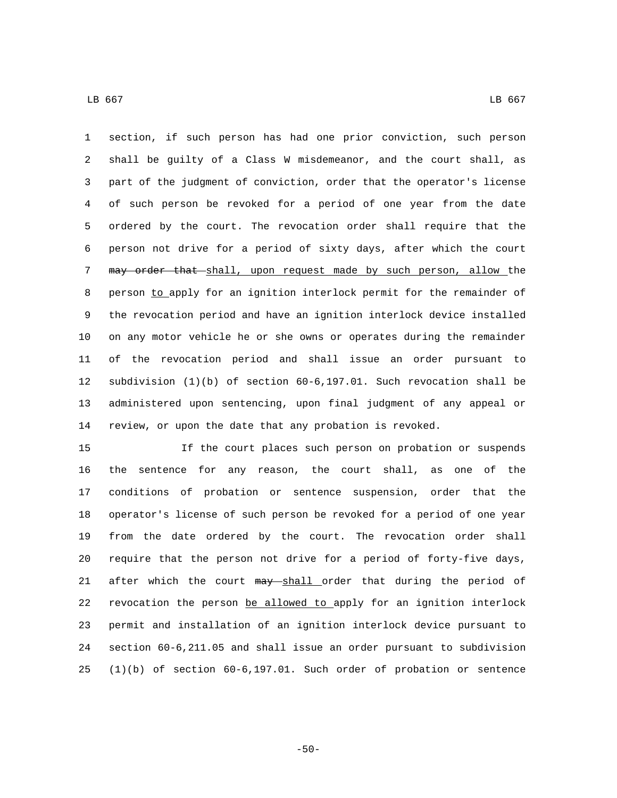section, if such person has had one prior conviction, such person shall be guilty of a Class W misdemeanor, and the court shall, as part of the judgment of conviction, order that the operator's license of such person be revoked for a period of one year from the date ordered by the court. The revocation order shall require that the person not drive for a period of sixty days, after which the court 7 may order that shall, upon request made by such person, allow the 8 person to apply for an ignition interlock permit for the remainder of the revocation period and have an ignition interlock device installed on any motor vehicle he or she owns or operates during the remainder of the revocation period and shall issue an order pursuant to subdivision (1)(b) of section 60-6,197.01. Such revocation shall be administered upon sentencing, upon final judgment of any appeal or review, or upon the date that any probation is revoked.

 If the court places such person on probation or suspends the sentence for any reason, the court shall, as one of the conditions of probation or sentence suspension, order that the operator's license of such person be revoked for a period of one year from the date ordered by the court. The revocation order shall require that the person not drive for a period of forty-five days, 21 after which the court may shall order that during the period of revocation the person be allowed to apply for an ignition interlock permit and installation of an ignition interlock device pursuant to section 60-6,211.05 and shall issue an order pursuant to subdivision (1)(b) of section 60-6,197.01. Such order of probation or sentence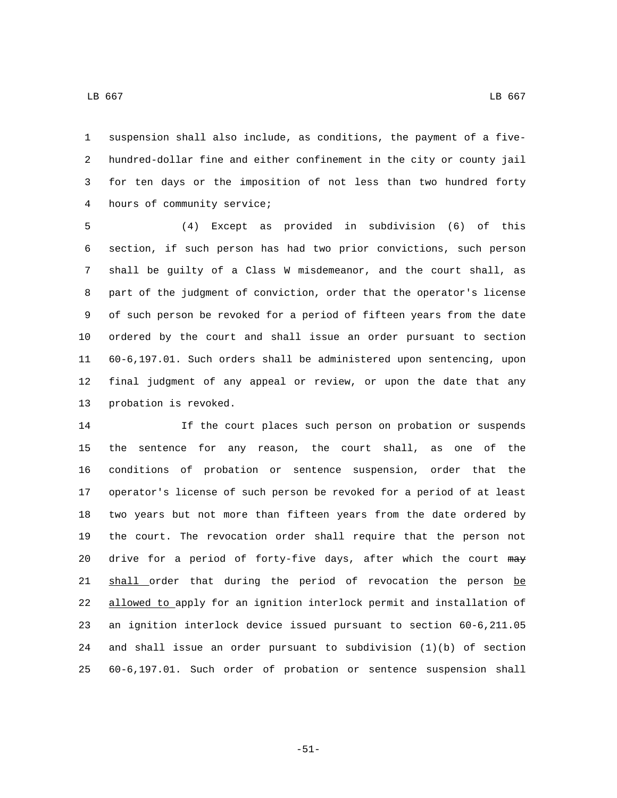suspension shall also include, as conditions, the payment of a five- hundred-dollar fine and either confinement in the city or county jail for ten days or the imposition of not less than two hundred forty 4 hours of community service;

 (4) Except as provided in subdivision (6) of this section, if such person has had two prior convictions, such person shall be guilty of a Class W misdemeanor, and the court shall, as part of the judgment of conviction, order that the operator's license of such person be revoked for a period of fifteen years from the date ordered by the court and shall issue an order pursuant to section 60-6,197.01. Such orders shall be administered upon sentencing, upon final judgment of any appeal or review, or upon the date that any 13 probation is revoked.

 If the court places such person on probation or suspends the sentence for any reason, the court shall, as one of the conditions of probation or sentence suspension, order that the operator's license of such person be revoked for a period of at least two years but not more than fifteen years from the date ordered by the court. The revocation order shall require that the person not 20 drive for a period of forty-five days, after which the court may 21 shall order that during the period of revocation the person be allowed to apply for an ignition interlock permit and installation of an ignition interlock device issued pursuant to section 60-6,211.05 and shall issue an order pursuant to subdivision (1)(b) of section 60-6,197.01. Such order of probation or sentence suspension shall

 $\,$  LB 667  $\,$  LB 667  $\,$ 

-51-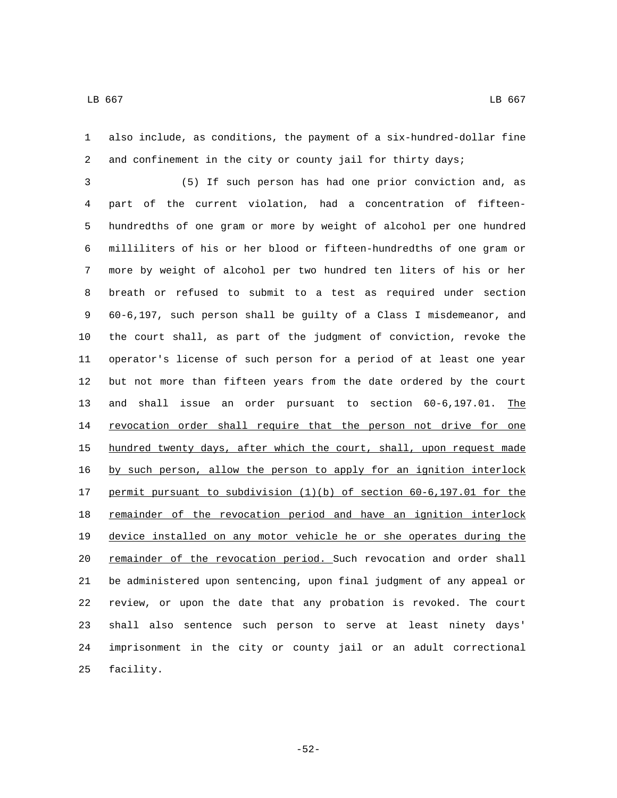also include, as conditions, the payment of a six-hundred-dollar fine and confinement in the city or county jail for thirty days;

 (5) If such person has had one prior conviction and, as part of the current violation, had a concentration of fifteen- hundredths of one gram or more by weight of alcohol per one hundred milliliters of his or her blood or fifteen-hundredths of one gram or more by weight of alcohol per two hundred ten liters of his or her breath or refused to submit to a test as required under section 60-6,197, such person shall be guilty of a Class I misdemeanor, and the court shall, as part of the judgment of conviction, revoke the operator's license of such person for a period of at least one year but not more than fifteen years from the date ordered by the court and shall issue an order pursuant to section 60-6,197.01. The 14 revocation order shall require that the person not drive for one hundred twenty days, after which the court, shall, upon request made by such person, allow the person to apply for an ignition interlock permit pursuant to subdivision (1)(b) of section 60-6,197.01 for the 18 remainder of the revocation period and have an ignition interlock device installed on any motor vehicle he or she operates during the 20 remainder of the revocation period. Such revocation and order shall be administered upon sentencing, upon final judgment of any appeal or review, or upon the date that any probation is revoked. The court shall also sentence such person to serve at least ninety days' imprisonment in the city or county jail or an adult correctional 25 facility.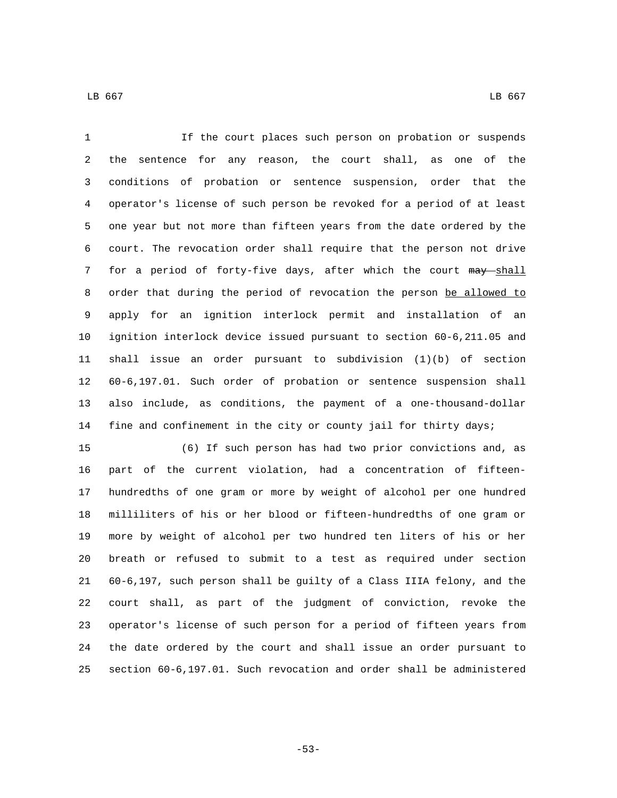If the court places such person on probation or suspends the sentence for any reason, the court shall, as one of the conditions of probation or sentence suspension, order that the operator's license of such person be revoked for a period of at least one year but not more than fifteen years from the date ordered by the court. The revocation order shall require that the person not drive 7 for a period of forty-five days, after which the court may shall 8 order that during the period of revocation the person be allowed to apply for an ignition interlock permit and installation of an ignition interlock device issued pursuant to section 60-6,211.05 and shall issue an order pursuant to subdivision (1)(b) of section 60-6,197.01. Such order of probation or sentence suspension shall also include, as conditions, the payment of a one-thousand-dollar fine and confinement in the city or county jail for thirty days;

 (6) If such person has had two prior convictions and, as part of the current violation, had a concentration of fifteen- hundredths of one gram or more by weight of alcohol per one hundred milliliters of his or her blood or fifteen-hundredths of one gram or more by weight of alcohol per two hundred ten liters of his or her breath or refused to submit to a test as required under section 60-6,197, such person shall be guilty of a Class IIIA felony, and the court shall, as part of the judgment of conviction, revoke the operator's license of such person for a period of fifteen years from the date ordered by the court and shall issue an order pursuant to section 60-6,197.01. Such revocation and order shall be administered

-53-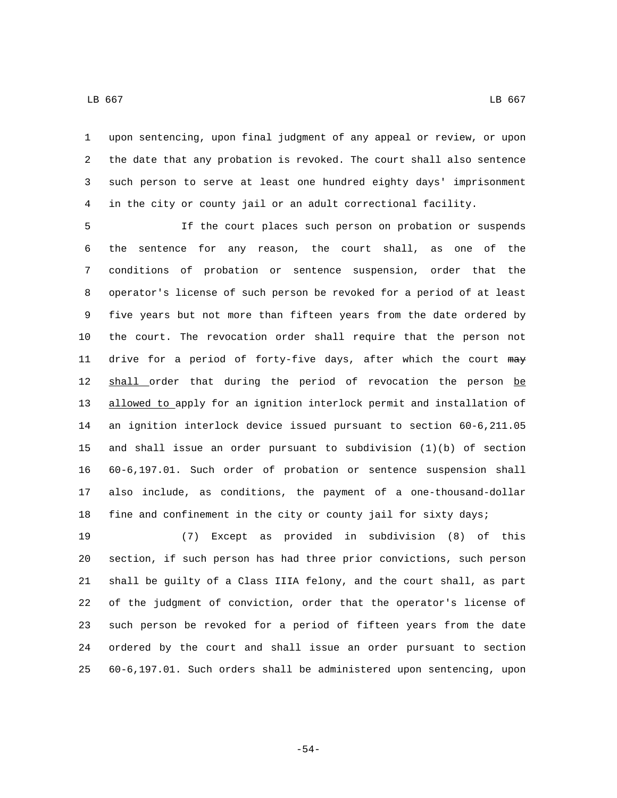upon sentencing, upon final judgment of any appeal or review, or upon the date that any probation is revoked. The court shall also sentence such person to serve at least one hundred eighty days' imprisonment in the city or county jail or an adult correctional facility.

 If the court places such person on probation or suspends the sentence for any reason, the court shall, as one of the conditions of probation or sentence suspension, order that the operator's license of such person be revoked for a period of at least five years but not more than fifteen years from the date ordered by the court. The revocation order shall require that the person not 11 drive for a period of forty-five days, after which the court may 12 shall order that during the period of revocation the person be allowed to apply for an ignition interlock permit and installation of an ignition interlock device issued pursuant to section 60-6,211.05 and shall issue an order pursuant to subdivision (1)(b) of section 60-6,197.01. Such order of probation or sentence suspension shall also include, as conditions, the payment of a one-thousand-dollar fine and confinement in the city or county jail for sixty days;

 (7) Except as provided in subdivision (8) of this section, if such person has had three prior convictions, such person shall be guilty of a Class IIIA felony, and the court shall, as part of the judgment of conviction, order that the operator's license of such person be revoked for a period of fifteen years from the date ordered by the court and shall issue an order pursuant to section 60-6,197.01. Such orders shall be administered upon sentencing, upon

-54-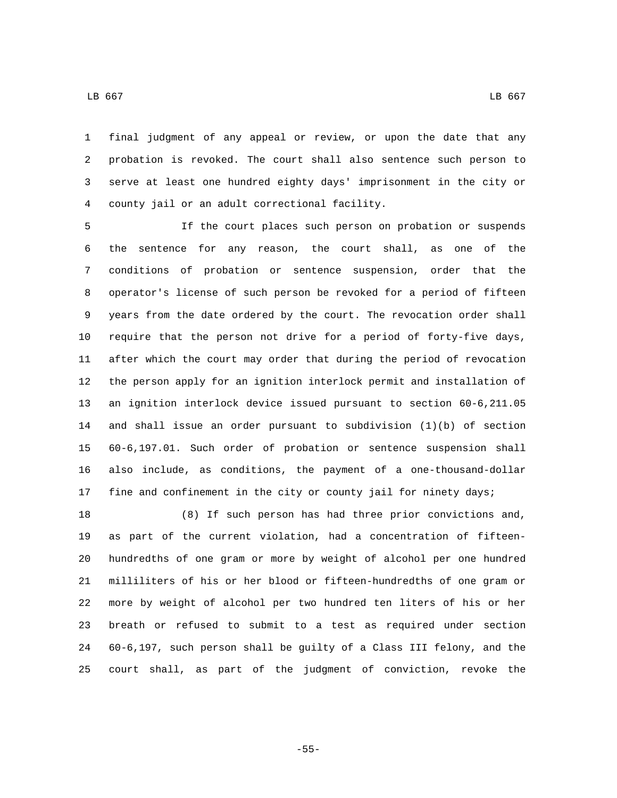final judgment of any appeal or review, or upon the date that any probation is revoked. The court shall also sentence such person to serve at least one hundred eighty days' imprisonment in the city or 4 county jail or an adult correctional facility.

 If the court places such person on probation or suspends the sentence for any reason, the court shall, as one of the conditions of probation or sentence suspension, order that the operator's license of such person be revoked for a period of fifteen years from the date ordered by the court. The revocation order shall require that the person not drive for a period of forty-five days, after which the court may order that during the period of revocation the person apply for an ignition interlock permit and installation of an ignition interlock device issued pursuant to section 60-6,211.05 and shall issue an order pursuant to subdivision (1)(b) of section 60-6,197.01. Such order of probation or sentence suspension shall also include, as conditions, the payment of a one-thousand-dollar fine and confinement in the city or county jail for ninety days;

 (8) If such person has had three prior convictions and, as part of the current violation, had a concentration of fifteen- hundredths of one gram or more by weight of alcohol per one hundred milliliters of his or her blood or fifteen-hundredths of one gram or more by weight of alcohol per two hundred ten liters of his or her breath or refused to submit to a test as required under section 60-6,197, such person shall be guilty of a Class III felony, and the court shall, as part of the judgment of conviction, revoke the

 $\,$  LB 667  $\,$  LB 667  $\,$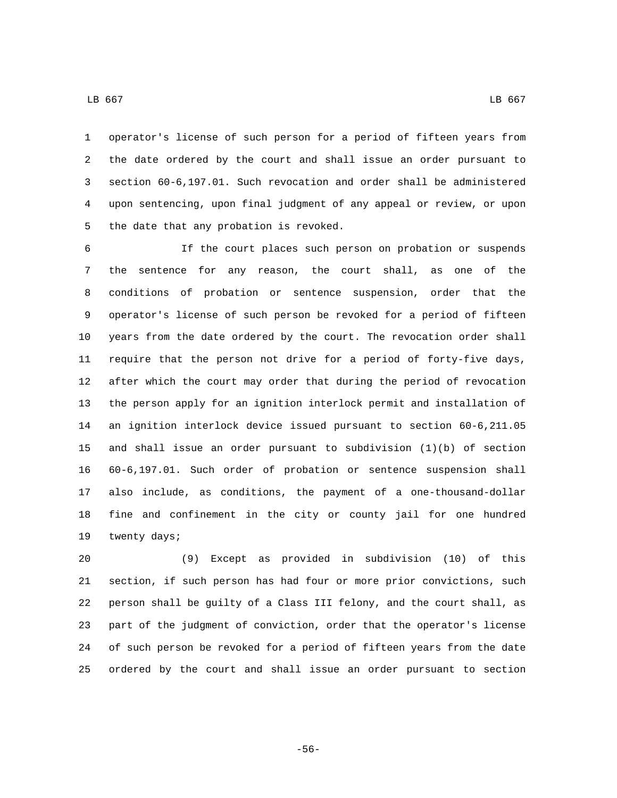operator's license of such person for a period of fifteen years from the date ordered by the court and shall issue an order pursuant to section 60-6,197.01. Such revocation and order shall be administered upon sentencing, upon final judgment of any appeal or review, or upon 5 the date that any probation is revoked.

 If the court places such person on probation or suspends the sentence for any reason, the court shall, as one of the conditions of probation or sentence suspension, order that the operator's license of such person be revoked for a period of fifteen years from the date ordered by the court. The revocation order shall require that the person not drive for a period of forty-five days, after which the court may order that during the period of revocation the person apply for an ignition interlock permit and installation of an ignition interlock device issued pursuant to section 60-6,211.05 and shall issue an order pursuant to subdivision (1)(b) of section 60-6,197.01. Such order of probation or sentence suspension shall also include, as conditions, the payment of a one-thousand-dollar fine and confinement in the city or county jail for one hundred 19 twenty days;

 (9) Except as provided in subdivision (10) of this section, if such person has had four or more prior convictions, such person shall be guilty of a Class III felony, and the court shall, as part of the judgment of conviction, order that the operator's license of such person be revoked for a period of fifteen years from the date ordered by the court and shall issue an order pursuant to section

 $\,$  LB 667  $\,$  LB 667  $\,$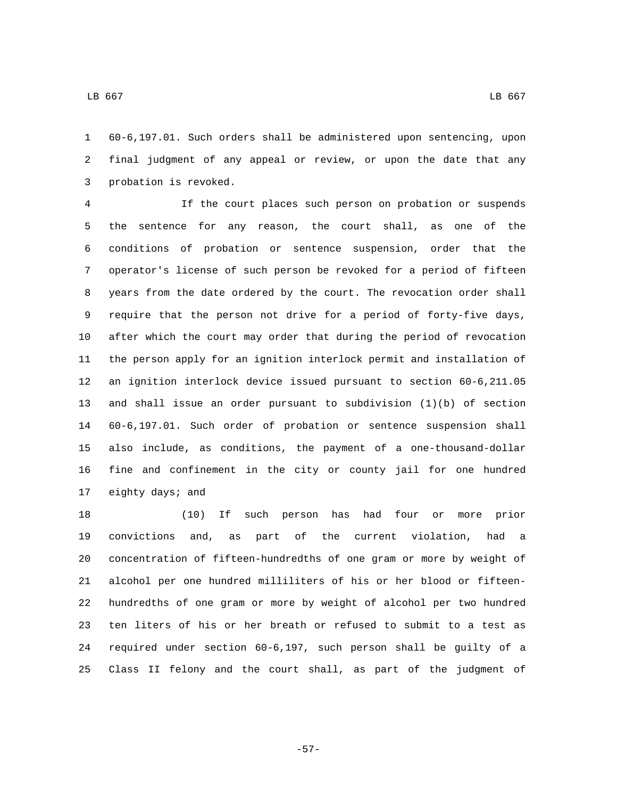60-6,197.01. Such orders shall be administered upon sentencing, upon final judgment of any appeal or review, or upon the date that any 3 probation is revoked.

 If the court places such person on probation or suspends the sentence for any reason, the court shall, as one of the conditions of probation or sentence suspension, order that the operator's license of such person be revoked for a period of fifteen years from the date ordered by the court. The revocation order shall require that the person not drive for a period of forty-five days, after which the court may order that during the period of revocation the person apply for an ignition interlock permit and installation of an ignition interlock device issued pursuant to section 60-6,211.05 and shall issue an order pursuant to subdivision (1)(b) of section 60-6,197.01. Such order of probation or sentence suspension shall also include, as conditions, the payment of a one-thousand-dollar fine and confinement in the city or county jail for one hundred 17 eighty days; and

 (10) If such person has had four or more prior convictions and, as part of the current violation, had a concentration of fifteen-hundredths of one gram or more by weight of alcohol per one hundred milliliters of his or her blood or fifteen- hundredths of one gram or more by weight of alcohol per two hundred ten liters of his or her breath or refused to submit to a test as required under section 60-6,197, such person shall be guilty of a Class II felony and the court shall, as part of the judgment of

-57-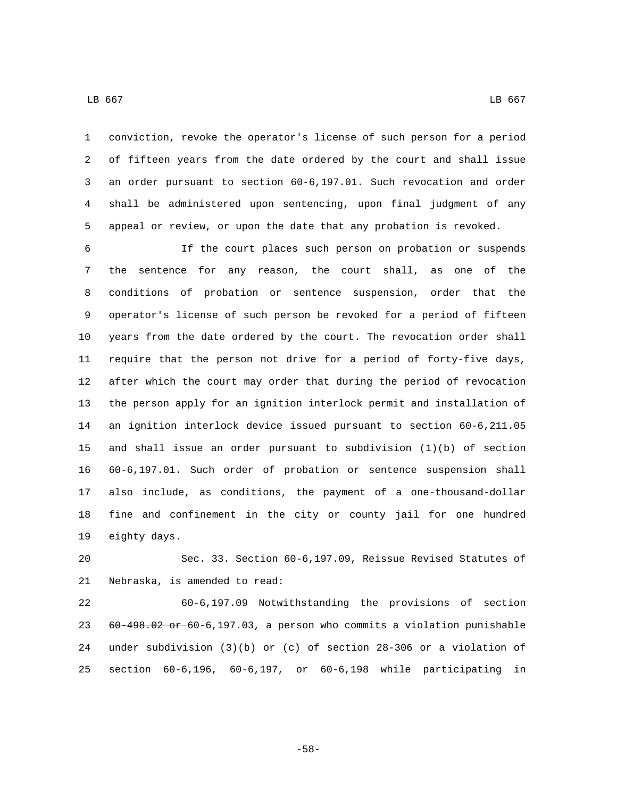conviction, revoke the operator's license of such person for a period of fifteen years from the date ordered by the court and shall issue an order pursuant to section 60-6,197.01. Such revocation and order shall be administered upon sentencing, upon final judgment of any appeal or review, or upon the date that any probation is revoked.

 If the court places such person on probation or suspends the sentence for any reason, the court shall, as one of the conditions of probation or sentence suspension, order that the operator's license of such person be revoked for a period of fifteen years from the date ordered by the court. The revocation order shall require that the person not drive for a period of forty-five days, after which the court may order that during the period of revocation the person apply for an ignition interlock permit and installation of an ignition interlock device issued pursuant to section 60-6,211.05 and shall issue an order pursuant to subdivision (1)(b) of section 60-6,197.01. Such order of probation or sentence suspension shall also include, as conditions, the payment of a one-thousand-dollar fine and confinement in the city or county jail for one hundred 19 eighty days.

 Sec. 33. Section 60-6,197.09, Reissue Revised Statutes of 21 Nebraska, is amended to read:

 60-6,197.09 Notwithstanding the provisions of section 60-498.02 or 60-6,197.03, a person who commits a violation punishable under subdivision (3)(b) or (c) of section 28-306 or a violation of section 60-6,196, 60-6,197, or 60-6,198 while participating in

-58-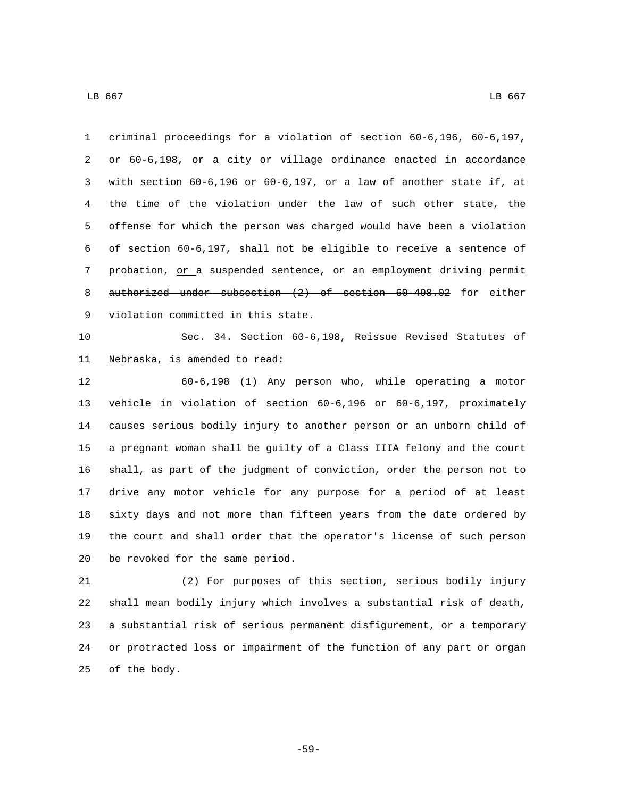criminal proceedings for a violation of section 60-6,196, 60-6,197, or 60-6,198, or a city or village ordinance enacted in accordance with section 60-6,196 or 60-6,197, or a law of another state if, at the time of the violation under the law of such other state, the offense for which the person was charged would have been a violation of section 60-6,197, shall not be eligible to receive a sentence of 7 probation, or a suspended sentence, or an employment driving permit 8 authorized under subsection (2) of section 60-498.02 for either 9 violation committed in this state.

 Sec. 34. Section 60-6,198, Reissue Revised Statutes of 11 Nebraska, is amended to read:

 60-6,198 (1) Any person who, while operating a motor vehicle in violation of section 60-6,196 or 60-6,197, proximately causes serious bodily injury to another person or an unborn child of a pregnant woman shall be guilty of a Class IIIA felony and the court shall, as part of the judgment of conviction, order the person not to drive any motor vehicle for any purpose for a period of at least sixty days and not more than fifteen years from the date ordered by the court and shall order that the operator's license of such person 20 be revoked for the same period.

 (2) For purposes of this section, serious bodily injury shall mean bodily injury which involves a substantial risk of death, a substantial risk of serious permanent disfigurement, or a temporary or protracted loss or impairment of the function of any part or organ 25 of the body.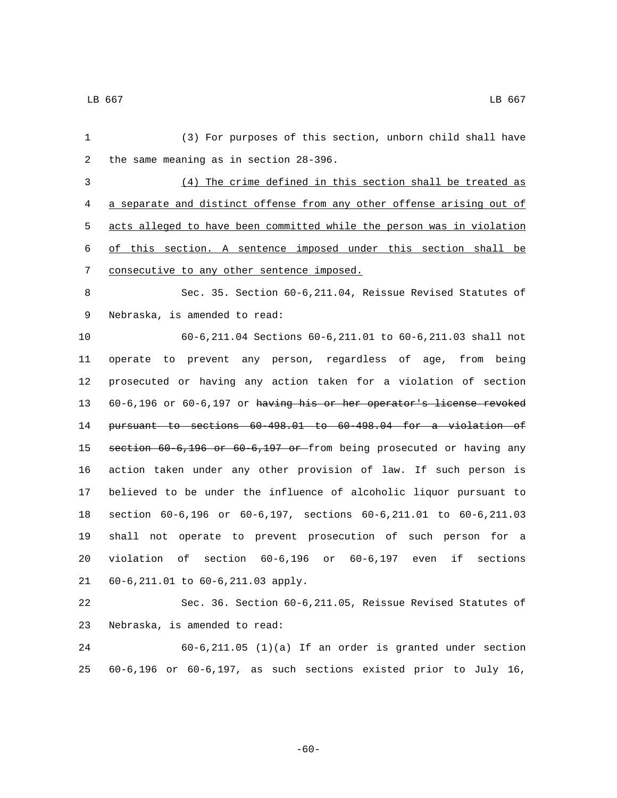| 1  | (3) For purposes of this section, unborn child shall have                   |
|----|-----------------------------------------------------------------------------|
| 2  | the same meaning as in section 28-396.                                      |
| 3  | (4) The crime defined in this section shall be treated as                   |
| 4  | a separate and distinct offense from any other offense arising out of       |
| 5  | acts alleged to have been committed while the person was in violation       |
| 6  | of this section. A sentence imposed under this section shall be             |
| 7  | consecutive to any other sentence imposed.                                  |
| 8  | Sec. 35. Section 60-6, 211.04, Reissue Revised Statutes of                  |
| 9  | Nebraska, is amended to read:                                               |
| 10 | 60-6,211.04 Sections 60-6,211.01 to 60-6,211.03 shall not                   |
| 11 | operate to prevent any person, regardless of age, from being                |
| 12 | prosecuted or having any action taken for a violation of section            |
| 13 | 60-6,196 or 60-6,197 or having his or her operator's license revoked        |
| 14 | pursuant to sections 60-498.01 to 60-498.04 for a violation of              |
| 15 | section 60-6,196 or 60-6,197 or from being prosecuted or having any         |
| 16 | action taken under any other provision of law. If such person is            |
| 17 | believed to be under the influence of alcoholic liquor pursuant to          |
| 18 | section 60-6,196 or 60-6,197, sections 60-6,211.01 to 60-6,211.03           |
| 19 | shall not operate to prevent prosecution of such person for a               |
| 20 | violation<br>of<br>section $60-6,196$<br>or 60-6,197 even<br>if<br>sections |
| 21 | 60-6, 211.01 to 60-6, 211.03 apply.                                         |
| 22 | Sec. 36. Section 60-6, 211.05, Reissue Revised Statutes of                  |
| 23 | Nebraska, is amended to read:                                               |
| 24 | $60-6, 211.05$ (1)(a) If an order is granted under section                  |
| 25 | 60-6,196 or 60-6,197, as such sections existed prior to July 16,            |

-60-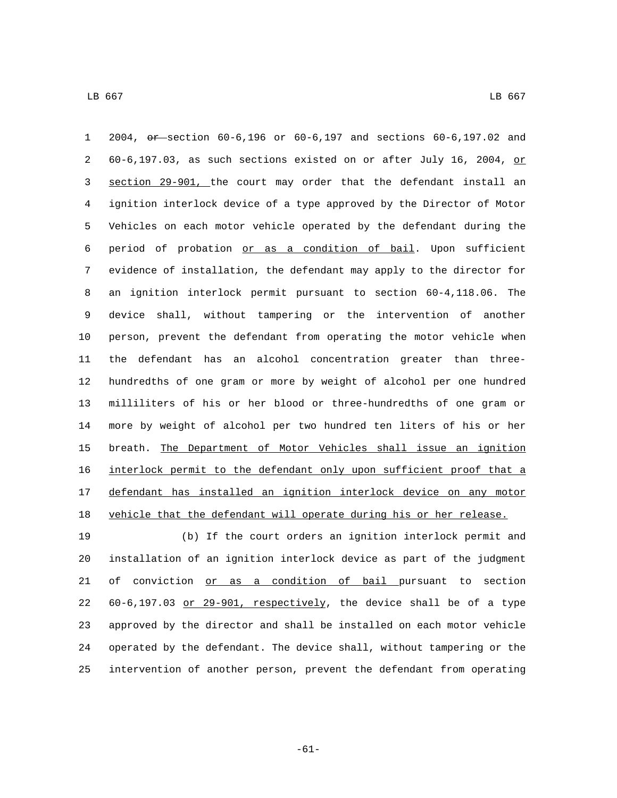2004, or section 60-6,196 or 60-6,197 and sections 60-6,197.02 and 2 60-6,197.03, as such sections existed on or after July 16, 2004,  $p$  section 29-901, the court may order that the defendant install an ignition interlock device of a type approved by the Director of Motor Vehicles on each motor vehicle operated by the defendant during the period of probation or as a condition of bail. Upon sufficient evidence of installation, the defendant may apply to the director for an ignition interlock permit pursuant to section 60-4,118.06. The device shall, without tampering or the intervention of another person, prevent the defendant from operating the motor vehicle when the defendant has an alcohol concentration greater than three- hundredths of one gram or more by weight of alcohol per one hundred milliliters of his or her blood or three-hundredths of one gram or more by weight of alcohol per two hundred ten liters of his or her breath. The Department of Motor Vehicles shall issue an ignition interlock permit to the defendant only upon sufficient proof that a defendant has installed an ignition interlock device on any motor vehicle that the defendant will operate during his or her release.

 (b) If the court orders an ignition interlock permit and installation of an ignition interlock device as part of the judgment 21 of conviction or as a condition of bail pursuant to section  $60-6,197.03$  or 29-901, respectively, the device shall be of a type approved by the director and shall be installed on each motor vehicle operated by the defendant. The device shall, without tampering or the intervention of another person, prevent the defendant from operating

-61-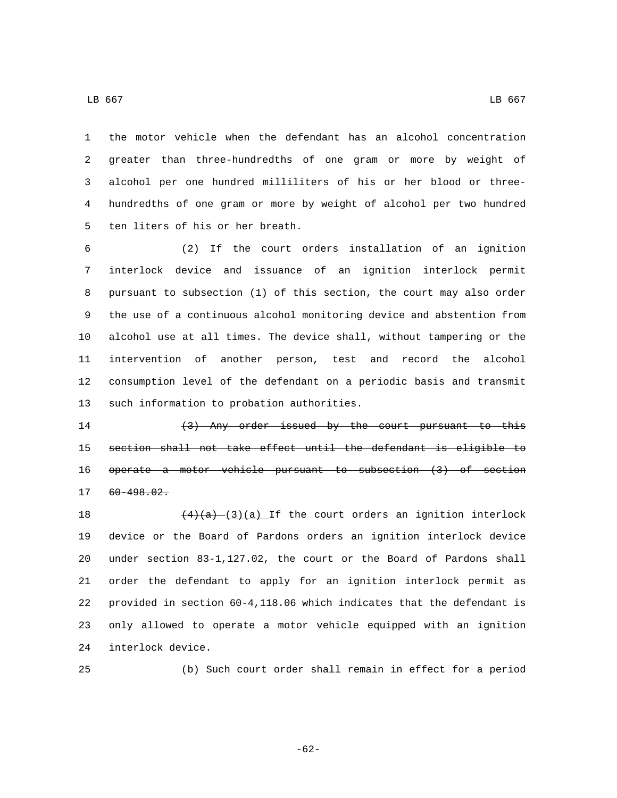the motor vehicle when the defendant has an alcohol concentration greater than three-hundredths of one gram or more by weight of alcohol per one hundred milliliters of his or her blood or three- hundredths of one gram or more by weight of alcohol per two hundred 5 ten liters of his or her breath.

 (2) If the court orders installation of an ignition interlock device and issuance of an ignition interlock permit pursuant to subsection (1) of this section, the court may also order the use of a continuous alcohol monitoring device and abstention from alcohol use at all times. The device shall, without tampering or the intervention of another person, test and record the alcohol consumption level of the defendant on a periodic basis and transmit 13 such information to probation authorities.

14 (3) Any order issued by the court pursuant to this section shall not take effect until the defendant is eligible to operate a motor vehicle pursuant to subsection (3) of section 60-498.02.17

 $(4)(a)$   $(3)(a)$  If the court orders an ignition interlock device or the Board of Pardons orders an ignition interlock device under section 83-1,127.02, the court or the Board of Pardons shall order the defendant to apply for an ignition interlock permit as provided in section 60-4,118.06 which indicates that the defendant is only allowed to operate a motor vehicle equipped with an ignition 24 interlock device.

(b) Such court order shall remain in effect for a period

-62-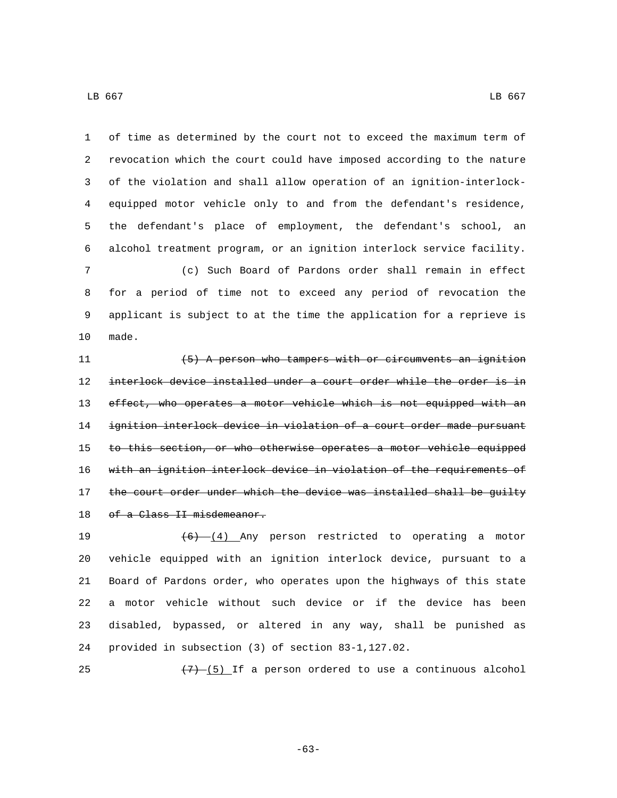of time as determined by the court not to exceed the maximum term of revocation which the court could have imposed according to the nature of the violation and shall allow operation of an ignition-interlock- equipped motor vehicle only to and from the defendant's residence, the defendant's place of employment, the defendant's school, an alcohol treatment program, or an ignition interlock service facility. (c) Such Board of Pardons order shall remain in effect for a period of time not to exceed any period of revocation the applicant is subject to at the time the application for a reprieve is

10 made.

11 (5) A person who tampers with or circumvents an ignition interlock device installed under a court order while the order is in 13 effect, who operates a motor vehicle which is not equipped with an ignition interlock device in violation of a court order made pursuant 15 to this section, or who otherwise operates a motor vehicle equipped with an ignition interlock device in violation of the requirements of 17 the court order under which the device was installed shall be guilty 18 of a Class II misdemeanor.

 $(6)$   $(4)$  Any person restricted to operating a motor vehicle equipped with an ignition interlock device, pursuant to a Board of Pardons order, who operates upon the highways of this state a motor vehicle without such device or if the device has been disabled, bypassed, or altered in any way, shall be punished as provided in subsection (3) of section 83-1,127.02.

25  $(7)-(5)$  If a person ordered to use a continuous alcohol

-63-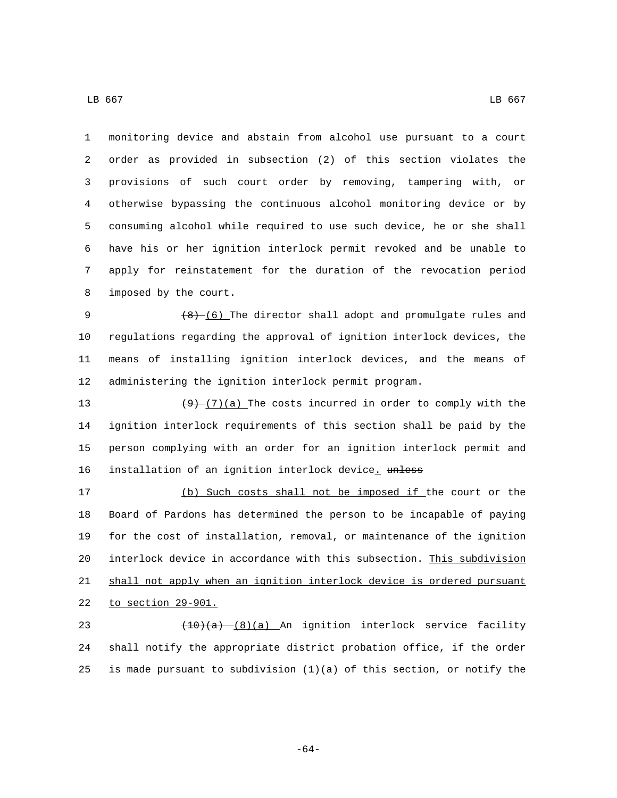monitoring device and abstain from alcohol use pursuant to a court order as provided in subsection (2) of this section violates the provisions of such court order by removing, tampering with, or otherwise bypassing the continuous alcohol monitoring device or by consuming alcohol while required to use such device, he or she shall have his or her ignition interlock permit revoked and be unable to apply for reinstatement for the duration of the revocation period 8 imposed by the court.

 $(8)$  (6) The director shall adopt and promulgate rules and regulations regarding the approval of ignition interlock devices, the means of installing ignition interlock devices, and the means of administering the ignition interlock permit program.

 $(9)$   $(7)(a)$  The costs incurred in order to comply with the ignition interlock requirements of this section shall be paid by the person complying with an order for an ignition interlock permit and 16 installation of an ignition interlock device. unless

 (b) Such costs shall not be imposed if the court or the Board of Pardons has determined the person to be incapable of paying for the cost of installation, removal, or maintenance of the ignition interlock device in accordance with this subsection. This subdivision shall not apply when an ignition interlock device is ordered pursuant 22 to section 29-901.

23 (10)(a) (8)(a) An ignition interlock service facility shall notify the appropriate district probation office, if the order is made pursuant to subdivision (1)(a) of this section, or notify the

-64-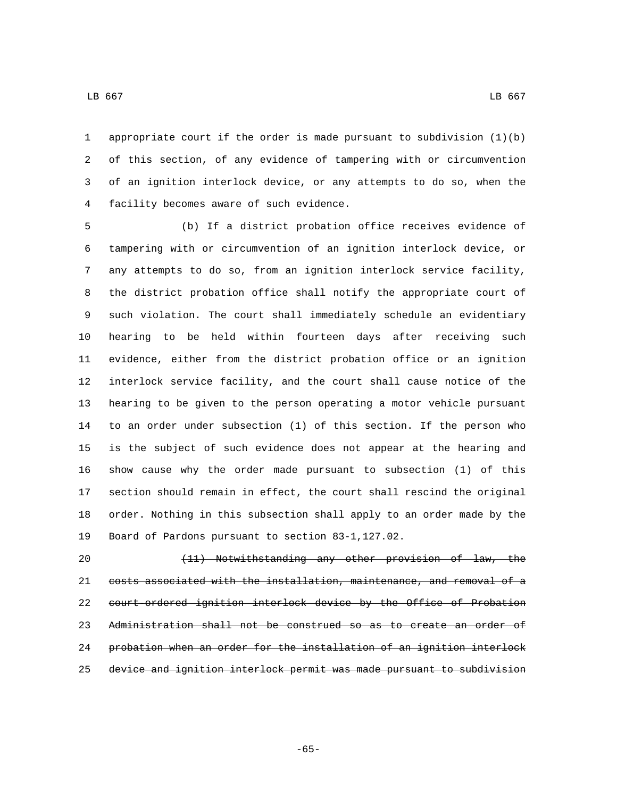appropriate court if the order is made pursuant to subdivision (1)(b) of this section, of any evidence of tampering with or circumvention of an ignition interlock device, or any attempts to do so, when the 4 facility becomes aware of such evidence.

 (b) If a district probation office receives evidence of tampering with or circumvention of an ignition interlock device, or any attempts to do so, from an ignition interlock service facility, the district probation office shall notify the appropriate court of such violation. The court shall immediately schedule an evidentiary hearing to be held within fourteen days after receiving such evidence, either from the district probation office or an ignition interlock service facility, and the court shall cause notice of the hearing to be given to the person operating a motor vehicle pursuant to an order under subsection (1) of this section. If the person who is the subject of such evidence does not appear at the hearing and show cause why the order made pursuant to subsection (1) of this section should remain in effect, the court shall rescind the original order. Nothing in this subsection shall apply to an order made by the 19 Board of Pardons pursuant to section 83-1,127.02.

 (11) Notwithstanding any other provision of law, the costs associated with the installation, maintenance, and removal of a court-ordered ignition interlock device by the Office of Probation Administration shall not be construed so as to create an order of probation when an order for the installation of an ignition interlock device and ignition interlock permit was made pursuant to subdivision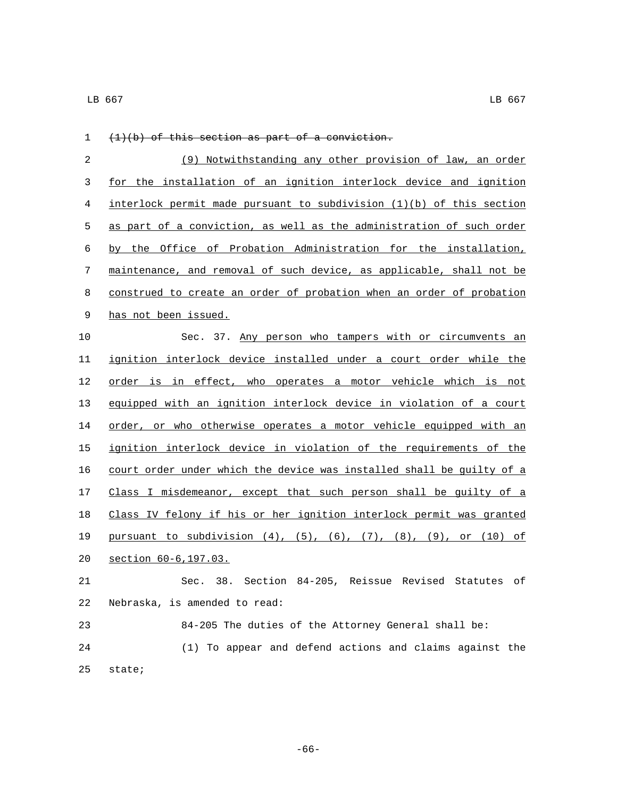| 1  | $(1)(b)$ of this section as part of a conviction.                                    |
|----|--------------------------------------------------------------------------------------|
| 2  | (9) Notwithstanding any other provision of law, an order                             |
| 3  | for the installation of an ignition interlock device and ignition                    |
| 4  | interlock permit made pursuant to subdivision (1)(b) of this section                 |
| 5  | as part of a conviction, as well as the administration of such order                 |
| 6  | by the Office of Probation Administration for the installation,                      |
| 7  | maintenance, and removal of such device, as applicable, shall not be                 |
| 8  | construed to create an order of probation when an order of probation                 |
| 9  | has not been issued.                                                                 |
| 10 | Sec. 37. Any person who tampers with or circumvents an                               |
| 11 | ignition interlock device installed under a court order while the                    |
| 12 | order is in effect, who operates a motor vehicle which is not                        |
| 13 | equipped with an ignition interlock device in violation of a court                   |
| 14 | order, or who otherwise operates a motor vehicle equipped with an                    |
| 15 | ignition interlock device in violation of the requirements of the                    |
| 16 | court order under which the device was installed shall be guilty of a                |
| 17 | Class I misdemeanor, except that such person shall be guilty of a                    |
| 18 | Class IV felony if his or her ignition interlock permit was granted                  |
| 19 | pursuant to subdivision $(4)$ , $(5)$ , $(6)$ , $(7)$ , $(8)$ , $(9)$ , or $(10)$ of |
| 20 | section 60-6, 197.03.                                                                |
| 21 | Sec. 38. Section 84-205, Reissue Revised Statutes of                                 |
| 22 | Nebraska, is amended to read:                                                        |
| 23 | 84-205 The duties of the Attorney General shall be:                                  |
| 24 | (1) To appear and defend actions and claims against the                              |
| 25 | state;                                                                               |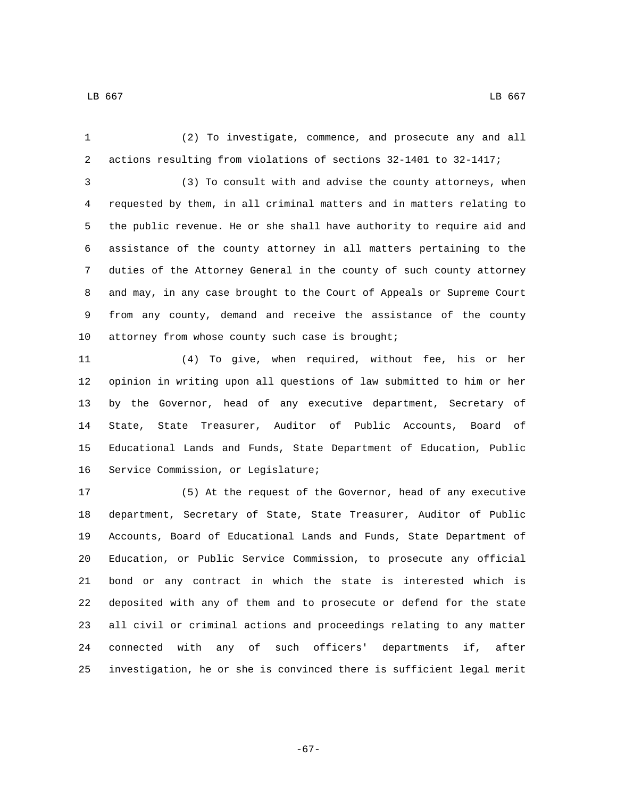(2) To investigate, commence, and prosecute any and all actions resulting from violations of sections 32-1401 to 32-1417;

 (3) To consult with and advise the county attorneys, when requested by them, in all criminal matters and in matters relating to the public revenue. He or she shall have authority to require aid and assistance of the county attorney in all matters pertaining to the duties of the Attorney General in the county of such county attorney and may, in any case brought to the Court of Appeals or Supreme Court from any county, demand and receive the assistance of the county 10 attorney from whose county such case is brought;

 (4) To give, when required, without fee, his or her opinion in writing upon all questions of law submitted to him or her by the Governor, head of any executive department, Secretary of State, State Treasurer, Auditor of Public Accounts, Board of Educational Lands and Funds, State Department of Education, Public 16 Service Commission, or Legislature;

 (5) At the request of the Governor, head of any executive department, Secretary of State, State Treasurer, Auditor of Public Accounts, Board of Educational Lands and Funds, State Department of Education, or Public Service Commission, to prosecute any official bond or any contract in which the state is interested which is deposited with any of them and to prosecute or defend for the state all civil or criminal actions and proceedings relating to any matter connected with any of such officers' departments if, after investigation, he or she is convinced there is sufficient legal merit

-67-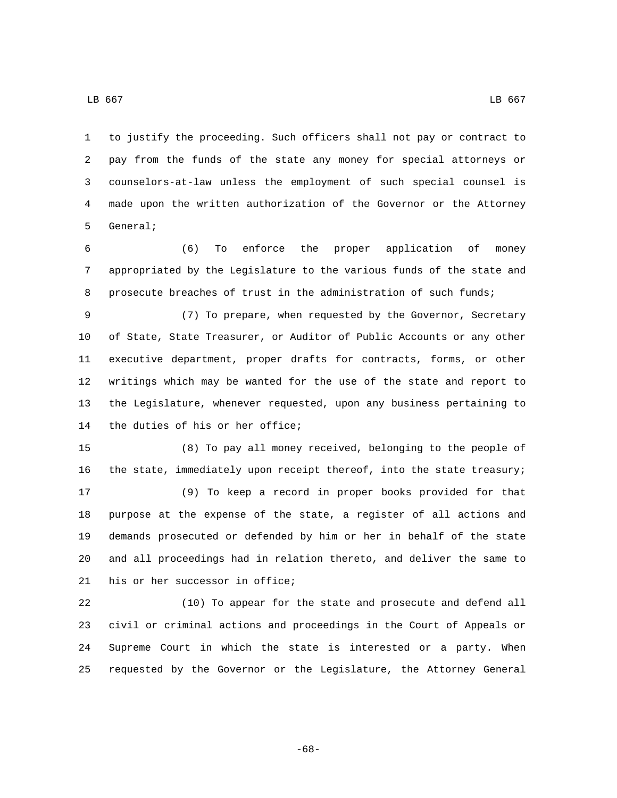to justify the proceeding. Such officers shall not pay or contract to pay from the funds of the state any money for special attorneys or counselors-at-law unless the employment of such special counsel is made upon the written authorization of the Governor or the Attorney 5 General;

 (6) To enforce the proper application of money appropriated by the Legislature to the various funds of the state and 8 prosecute breaches of trust in the administration of such funds;

 (7) To prepare, when requested by the Governor, Secretary of State, State Treasurer, or Auditor of Public Accounts or any other executive department, proper drafts for contracts, forms, or other writings which may be wanted for the use of the state and report to the Legislature, whenever requested, upon any business pertaining to 14 the duties of his or her office;

 (8) To pay all money received, belonging to the people of the state, immediately upon receipt thereof, into the state treasury; (9) To keep a record in proper books provided for that purpose at the expense of the state, a register of all actions and demands prosecuted or defended by him or her in behalf of the state and all proceedings had in relation thereto, and deliver the same to 21 his or her successor in office;

 (10) To appear for the state and prosecute and defend all civil or criminal actions and proceedings in the Court of Appeals or Supreme Court in which the state is interested or a party. When requested by the Governor or the Legislature, the Attorney General

-68-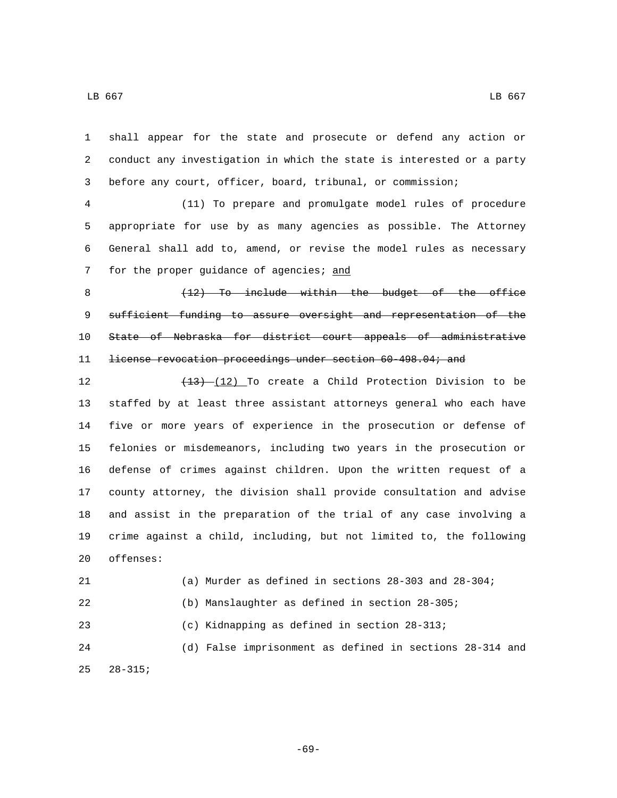shall appear for the state and prosecute or defend any action or conduct any investigation in which the state is interested or a party before any court, officer, board, tribunal, or commission;

 (11) To prepare and promulgate model rules of procedure appropriate for use by as many agencies as possible. The Attorney General shall add to, amend, or revise the model rules as necessary 7 for the proper guidance of agencies; and

8 (12) To include within the budget of the office 9 sufficient funding to assure oversight and representation of the State of Nebraska for district court appeals of administrative 11 <del>license revocation proceedings under section 60-498.04; and</del>

 $\left(\frac{13}{12}\right)$  To create a Child Protection Division to be staffed by at least three assistant attorneys general who each have five or more years of experience in the prosecution or defense of felonies or misdemeanors, including two years in the prosecution or defense of crimes against children. Upon the written request of a county attorney, the division shall provide consultation and advise and assist in the preparation of the trial of any case involving a crime against a child, including, but not limited to, the following 20 offenses:

 (a) Murder as defined in sections 28-303 and 28-304; (b) Manslaughter as defined in section 28-305; (c) Kidnapping as defined in section 28-313; (d) False imprisonment as defined in sections 28-314 and  $28-315;$ 

-69-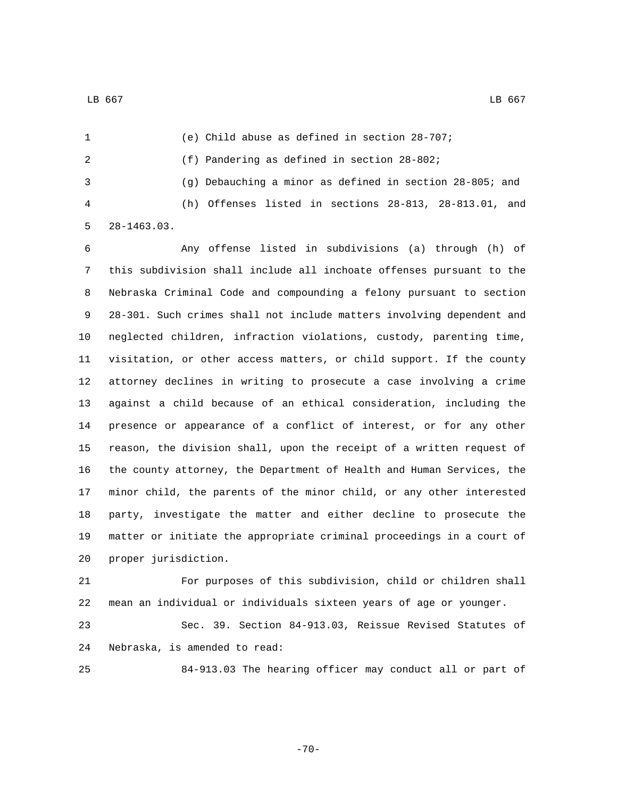(e) Child abuse as defined in section 28-707; (f) Pandering as defined in section 28-802; (g) Debauching a minor as defined in section 28-805; and (h) Offenses listed in sections 28-813, 28-813.01, and 28-1463.03.

 Any offense listed in subdivisions (a) through (h) of this subdivision shall include all inchoate offenses pursuant to the Nebraska Criminal Code and compounding a felony pursuant to section 28-301. Such crimes shall not include matters involving dependent and neglected children, infraction violations, custody, parenting time, visitation, or other access matters, or child support. If the county attorney declines in writing to prosecute a case involving a crime against a child because of an ethical consideration, including the presence or appearance of a conflict of interest, or for any other reason, the division shall, upon the receipt of a written request of the county attorney, the Department of Health and Human Services, the minor child, the parents of the minor child, or any other interested party, investigate the matter and either decline to prosecute the matter or initiate the appropriate criminal proceedings in a court of 20 proper jurisdiction.

 For purposes of this subdivision, child or children shall mean an individual or individuals sixteen years of age or younger.

 Sec. 39. Section 84-913.03, Reissue Revised Statutes of 24 Nebraska, is amended to read:

84-913.03 The hearing officer may conduct all or part of

-70-